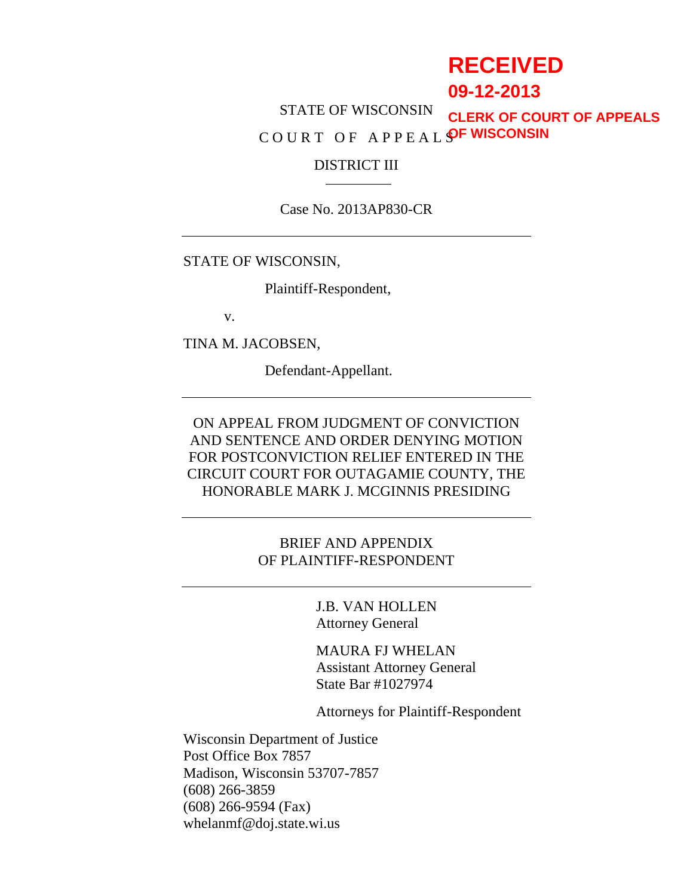# **RECEIVED**

**09-12-2013**

STATE OF WISCONSIN C O U R T O F A P P E A L S **OF WISCONSINCLERK OF COURT OF APPEALS**

#### DISTRICT III

Case No. 2013AP830-CR

STATE OF WISCONSIN,

Plaintiff-Respondent,

v.

TINA M. JACOBSEN,

Defendant-Appellant.

ON APPEAL FROM JUDGMENT OF CONVICTION AND SENTENCE AND ORDER DENYING MOTION FOR POSTCONVICTION RELIEF ENTERED IN THE CIRCUIT COURT FOR OUTAGAMIE COUNTY, THE HONORABLE MARK J. MCGINNIS PRESIDING

> BRIEF AND APPENDIX OF PLAINTIFF-RESPONDENT

> > J.B. VAN HOLLEN Attorney General

MAURA FJ WHELAN Assistant Attorney General State Bar #1027974

Attorneys for Plaintiff-Respondent

Wisconsin Department of Justice Post Office Box 7857 Madison, Wisconsin 53707-7857 (608) 266-3859 (608) 266-9594 (Fax) whelanmf@doj.state.wi.us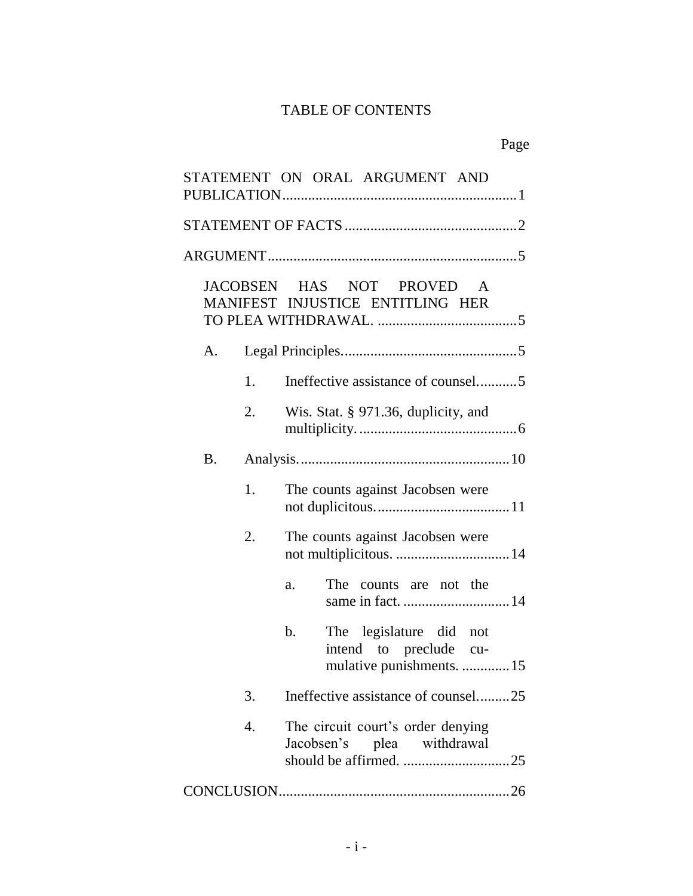## TABLE OF CONTENTS

## Page

|    |    | STATEMENT ON ORAL ARGUMENT AND                                                       |
|----|----|--------------------------------------------------------------------------------------|
|    |    |                                                                                      |
|    |    |                                                                                      |
|    |    | JACOBSEN HAS NOT PROVED A<br>MANIFEST INJUSTICE ENTITLING HER                        |
| A. |    |                                                                                      |
|    | 1. | Ineffective assistance of counsel5                                                   |
|    | 2. | Wis. Stat. § 971.36, duplicity, and                                                  |
| Β. |    |                                                                                      |
|    | 1. | The counts against Jacobsen were                                                     |
|    | 2. | The counts against Jacobsen were<br>not multiplicitous.  14                          |
|    |    | The counts are not the<br>a.                                                         |
|    |    | The legislature did not<br>b.<br>intend to preclude cu-<br>mulative punishments.  15 |
|    | 3. | Ineffective assistance of counsel25                                                  |
|    | 4. | The circuit court's order denying<br>Jacobsen's plea withdrawal                      |
|    |    |                                                                                      |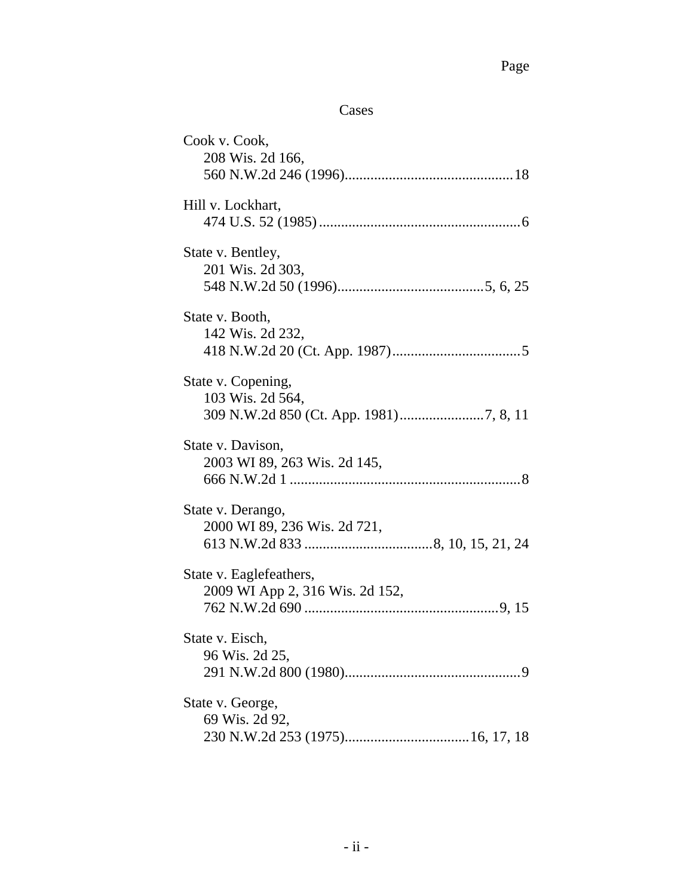## Cases

| Cook v. Cook,<br>208 Wis. 2d 166, |
|-----------------------------------|
|                                   |
| Hill v. Lockhart,                 |
|                                   |
| State v. Bentley,                 |
| 201 Wis. 2d 303,                  |
|                                   |
| State v. Booth,                   |
| 142 Wis. 2d 232,                  |
|                                   |
| State v. Copening,                |
| 103 Wis. 2d 564,                  |
|                                   |
| State v. Davison,                 |
| 2003 WI 89, 263 Wis. 2d 145,      |
|                                   |
| State v. Derango,                 |
| 2000 WI 89, 236 Wis. 2d 721,      |
|                                   |
| State v. Eaglefeathers,           |
| 2009 WI App 2, 316 Wis. 2d 152,   |
|                                   |
| State v. Eisch,                   |
| 96 Wis. 2d 25,                    |
|                                   |
| State v. George,                  |
| 69 Wis. 2d 92,                    |
|                                   |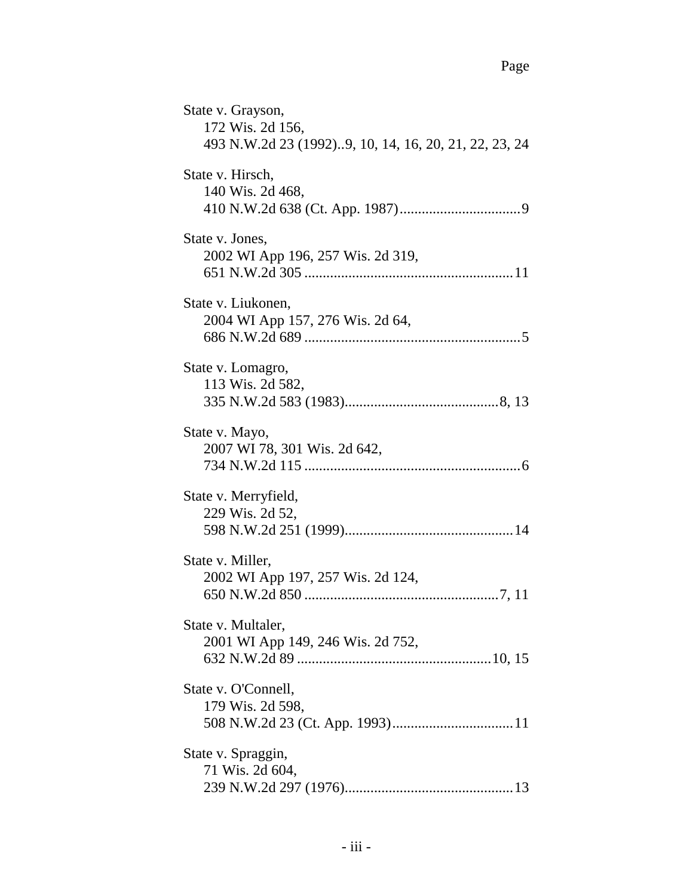| State v. Grayson,<br>172 Wis. 2d 156,<br>493 N.W.2d 23 (1992)9, 10, 14, 16, 20, 21, 22, 23, 24 |
|------------------------------------------------------------------------------------------------|
| State v. Hirsch,<br>140 Wis. 2d 468,                                                           |
| State v. Jones,<br>2002 WI App 196, 257 Wis. 2d 319,                                           |
| State v. Liukonen,<br>2004 WI App 157, 276 Wis. 2d 64,                                         |
| State v. Lomagro,<br>113 Wis. 2d 582,                                                          |
| State v. Mayo,<br>2007 WI 78, 301 Wis. 2d 642,                                                 |
| State v. Merryfield,<br>229 Wis. 2d 52,                                                        |
| State v. Miller,<br>2002 WI App 197, 257 Wis. 2d 124,                                          |
| State v. Multaler,<br>2001 WI App 149, 246 Wis. 2d 752,                                        |
| State v. O'Connell,<br>179 Wis. 2d 598,                                                        |
| State v. Spraggin,<br>71 Wis. 2d 604,                                                          |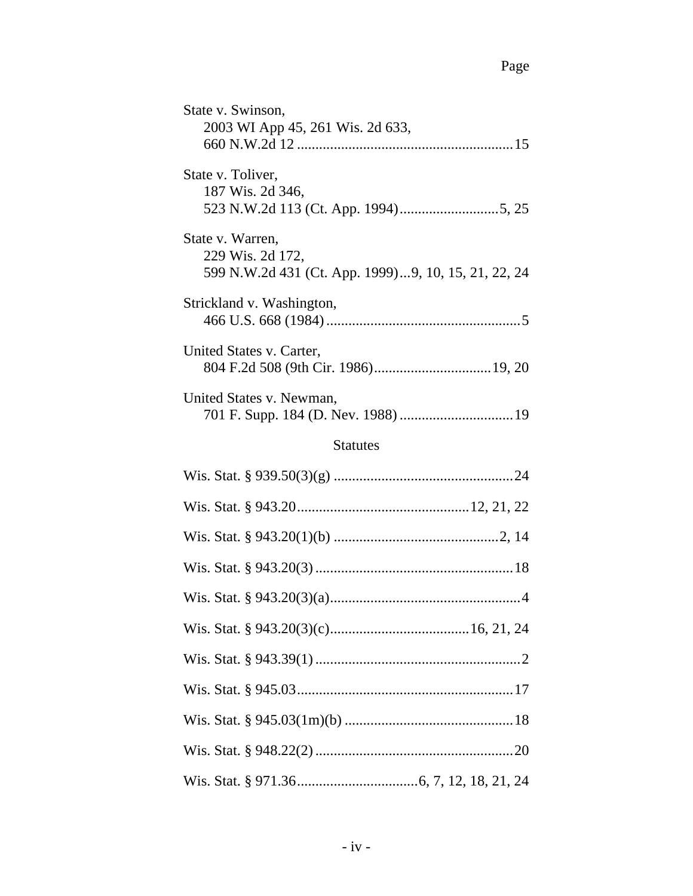| State v. Swinson,<br>2003 WI App 45, 261 Wis. 2d 633,                                       |  |  |  |  |  |
|---------------------------------------------------------------------------------------------|--|--|--|--|--|
| State v. Toliver,<br>187 Wis. 2d 346,                                                       |  |  |  |  |  |
| State v. Warren,<br>229 Wis. 2d 172,<br>599 N.W.2d 431 (Ct. App. 1999)9, 10, 15, 21, 22, 24 |  |  |  |  |  |
| Strickland v. Washington,                                                                   |  |  |  |  |  |
| United States v. Carter,                                                                    |  |  |  |  |  |
| United States v. Newman,                                                                    |  |  |  |  |  |
| <b>Statutes</b>                                                                             |  |  |  |  |  |
|                                                                                             |  |  |  |  |  |
|                                                                                             |  |  |  |  |  |
|                                                                                             |  |  |  |  |  |
|                                                                                             |  |  |  |  |  |
|                                                                                             |  |  |  |  |  |
|                                                                                             |  |  |  |  |  |
|                                                                                             |  |  |  |  |  |
|                                                                                             |  |  |  |  |  |
|                                                                                             |  |  |  |  |  |
|                                                                                             |  |  |  |  |  |
|                                                                                             |  |  |  |  |  |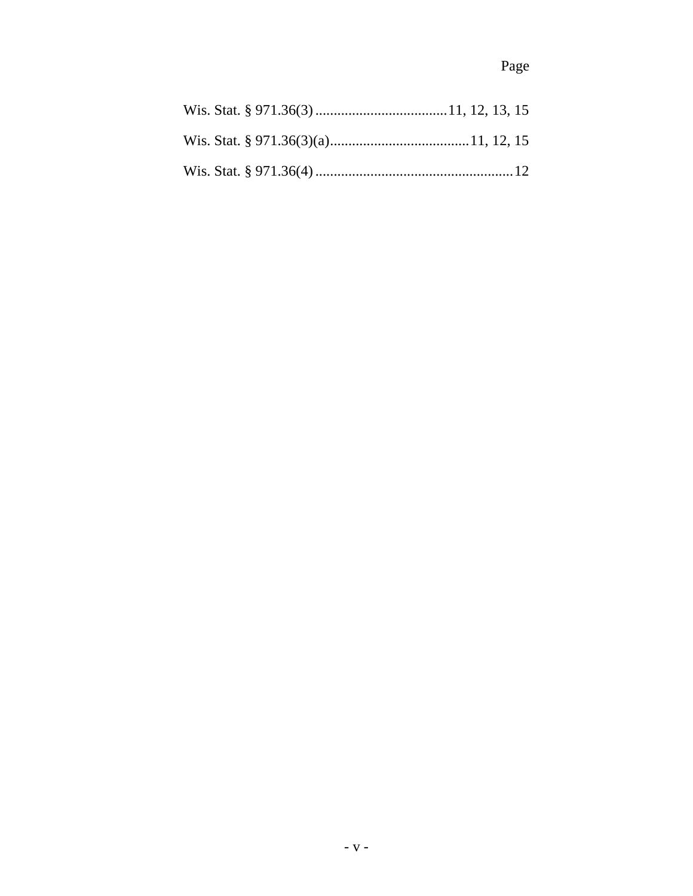## Page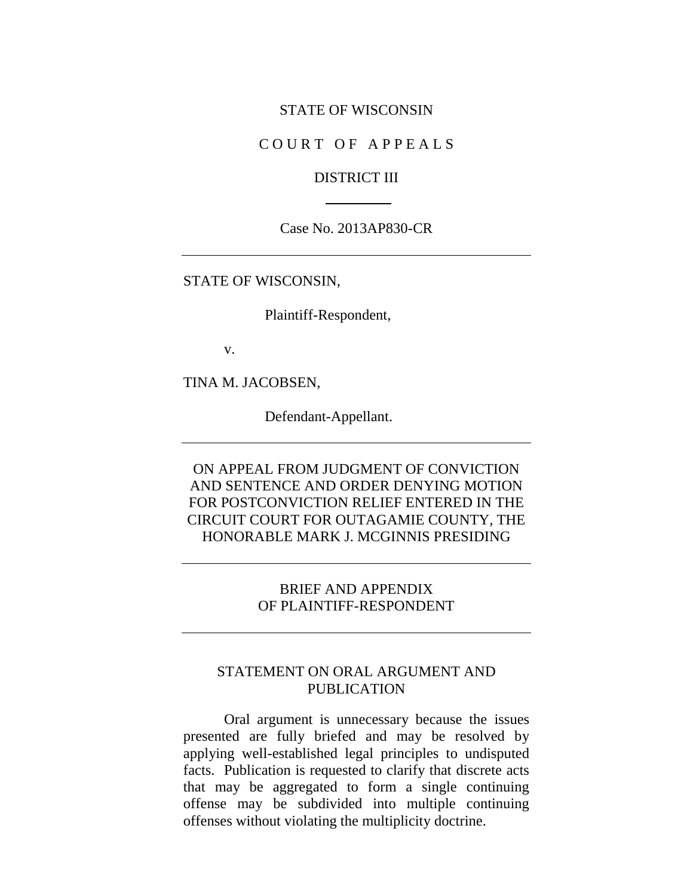#### STATE OF WISCONSIN

#### COURT OF APPEALS

#### DISTRICT III

#### Case No. 2013AP830-CR

#### STATE OF WISCONSIN,

Plaintiff-Respondent,

v.

TINA M. JACOBSEN,

Defendant-Appellant.

ON APPEAL FROM JUDGMENT OF CONVICTION AND SENTENCE AND ORDER DENYING MOTION FOR POSTCONVICTION RELIEF ENTERED IN THE CIRCUIT COURT FOR OUTAGAMIE COUNTY, THE HONORABLE MARK J. MCGINNIS PRESIDING

#### BRIEF AND APPENDIX OF PLAINTIFF-RESPONDENT

### STATEMENT ON ORAL ARGUMENT AND PUBLICATION

Oral argument is unnecessary because the issues presented are fully briefed and may be resolved by applying well-established legal principles to undisputed facts. Publication is requested to clarify that discrete acts that may be aggregated to form a single continuing offense may be subdivided into multiple continuing offenses without violating the multiplicity doctrine.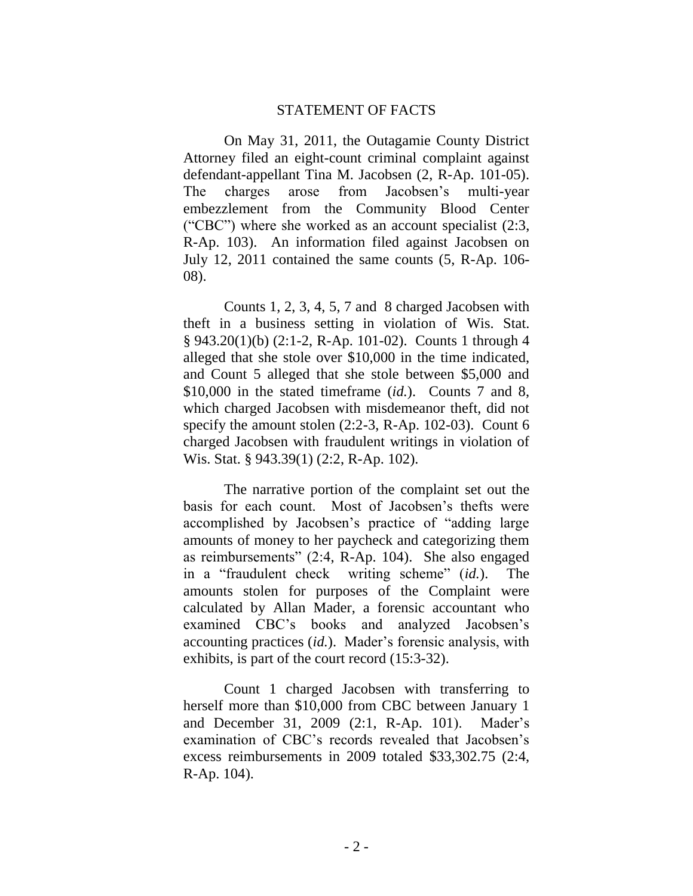#### STATEMENT OF FACTS

On May 31, 2011, the Outagamie County District Attorney filed an eight-count criminal complaint against defendant-appellant Tina M. Jacobsen (2, R-Ap. 101-05). The charges arose from Jacobsen's multi-year embezzlement from the Community Blood Center ("CBC") where she worked as an account specialist (2:3, R-Ap. 103). An information filed against Jacobsen on July 12, 2011 contained the same counts (5, R-Ap. 106- 08).

Counts 1, 2, 3, 4, 5, 7 and 8 charged Jacobsen with theft in a business setting in violation of Wis. Stat. § 943.20(1)(b) (2:1-2, R-Ap. 101-02). Counts 1 through 4 alleged that she stole over \$10,000 in the time indicated, and Count 5 alleged that she stole between \$5,000 and \$10,000 in the stated timeframe (*id.*). Counts 7 and 8, which charged Jacobsen with misdemeanor theft, did not specify the amount stolen (2:2-3, R-Ap. 102-03). Count 6 charged Jacobsen with fraudulent writings in violation of Wis. Stat. § 943.39(1) (2:2, R-Ap. 102).

The narrative portion of the complaint set out the basis for each count. Most of Jacobsen's thefts were accomplished by Jacobsen's practice of "adding large amounts of money to her paycheck and categorizing them as reimbursements" (2:4, R-Ap. 104). She also engaged in a "fraudulent check writing scheme" (*id.*). The amounts stolen for purposes of the Complaint were calculated by Allan Mader, a forensic accountant who examined CBC's books and analyzed Jacobsen's accounting practices (*id.*). Mader's forensic analysis, with exhibits, is part of the court record (15:3-32).

Count 1 charged Jacobsen with transferring to herself more than \$10,000 from CBC between January 1 and December 31, 2009 (2:1, R-Ap. 101). Mader's examination of CBC's records revealed that Jacobsen's excess reimbursements in 2009 totaled \$33,302.75 (2:4, R-Ap. 104).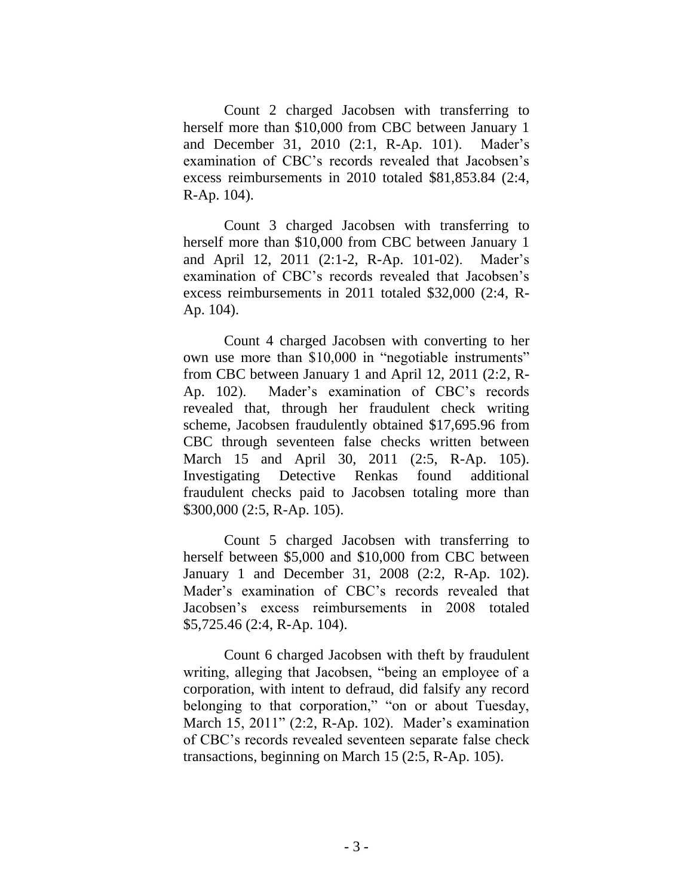Count 2 charged Jacobsen with transferring to herself more than \$10,000 from CBC between January 1 and December 31, 2010 (2:1, R-Ap. 101). Mader's examination of CBC's records revealed that Jacobsen's excess reimbursements in 2010 totaled \$81,853.84 (2:4, R-Ap. 104).

Count 3 charged Jacobsen with transferring to herself more than \$10,000 from CBC between January 1 and April 12, 2011 (2:1-2, R-Ap. 101-02). Mader's examination of CBC's records revealed that Jacobsen's excess reimbursements in 2011 totaled \$32,000 (2:4, R-Ap. 104).

Count 4 charged Jacobsen with converting to her own use more than \$10,000 in "negotiable instruments" from CBC between January 1 and April 12, 2011 (2:2, R-Ap. 102). Mader's examination of CBC's records revealed that, through her fraudulent check writing scheme, Jacobsen fraudulently obtained \$17,695.96 from CBC through seventeen false checks written between March 15 and April 30, 2011 (2:5, R-Ap. 105). Investigating Detective Renkas found additional fraudulent checks paid to Jacobsen totaling more than \$300,000 (2:5, R-Ap. 105).

Count 5 charged Jacobsen with transferring to herself between \$5,000 and \$10,000 from CBC between January 1 and December 31, 2008 (2:2, R-Ap. 102). Mader's examination of CBC's records revealed that Jacobsen's excess reimbursements in 2008 totaled \$5,725.46 (2:4, R-Ap. 104).

Count 6 charged Jacobsen with theft by fraudulent writing, alleging that Jacobsen, "being an employee of a corporation, with intent to defraud, did falsify any record belonging to that corporation," "on or about Tuesday, March 15, 2011" (2:2, R-Ap. 102). Mader's examination of CBC's records revealed seventeen separate false check transactions, beginning on March 15 (2:5, R-Ap. 105).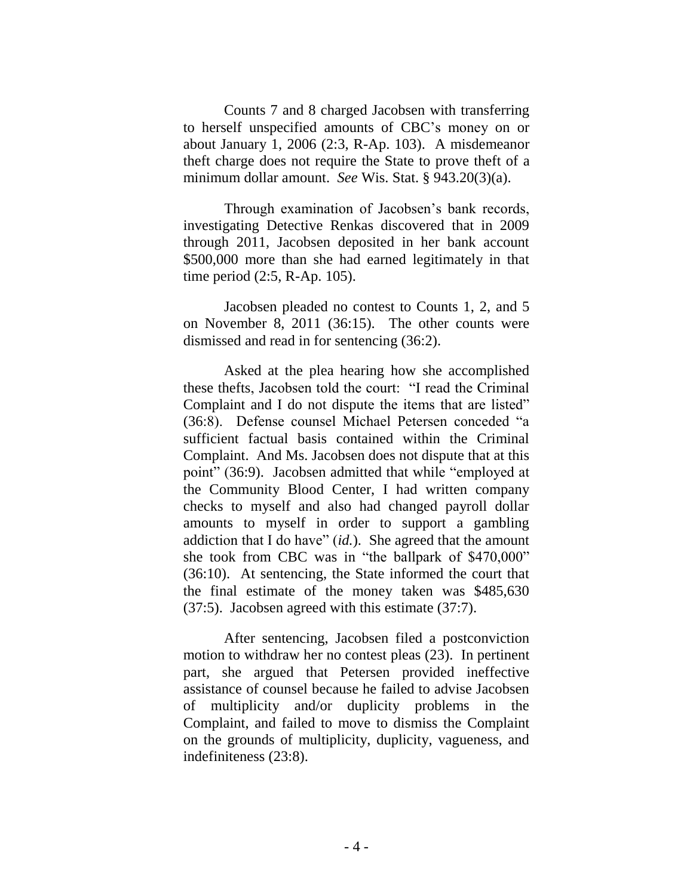Counts 7 and 8 charged Jacobsen with transferring to herself unspecified amounts of CBC's money on or about January 1, 2006 (2:3, R-Ap. 103). A misdemeanor theft charge does not require the State to prove theft of a minimum dollar amount. *See* Wis. Stat. § 943.20(3)(a).

Through examination of Jacobsen's bank records, investigating Detective Renkas discovered that in 2009 through 2011, Jacobsen deposited in her bank account \$500,000 more than she had earned legitimately in that time period (2:5, R-Ap. 105).

Jacobsen pleaded no contest to Counts 1, 2, and 5 on November 8, 2011 (36:15). The other counts were dismissed and read in for sentencing (36:2).

Asked at the plea hearing how she accomplished these thefts, Jacobsen told the court: "I read the Criminal Complaint and I do not dispute the items that are listed" (36:8). Defense counsel Michael Petersen conceded "a sufficient factual basis contained within the Criminal Complaint. And Ms. Jacobsen does not dispute that at this point" (36:9). Jacobsen admitted that while "employed at the Community Blood Center, I had written company checks to myself and also had changed payroll dollar amounts to myself in order to support a gambling addiction that I do have" (*id.*). She agreed that the amount she took from CBC was in "the ballpark of \$470,000" (36:10). At sentencing, the State informed the court that the final estimate of the money taken was \$485,630 (37:5). Jacobsen agreed with this estimate (37:7).

After sentencing, Jacobsen filed a postconviction motion to withdraw her no contest pleas (23). In pertinent part, she argued that Petersen provided ineffective assistance of counsel because he failed to advise Jacobsen of multiplicity and/or duplicity problems in the Complaint, and failed to move to dismiss the Complaint on the grounds of multiplicity, duplicity, vagueness, and indefiniteness (23:8).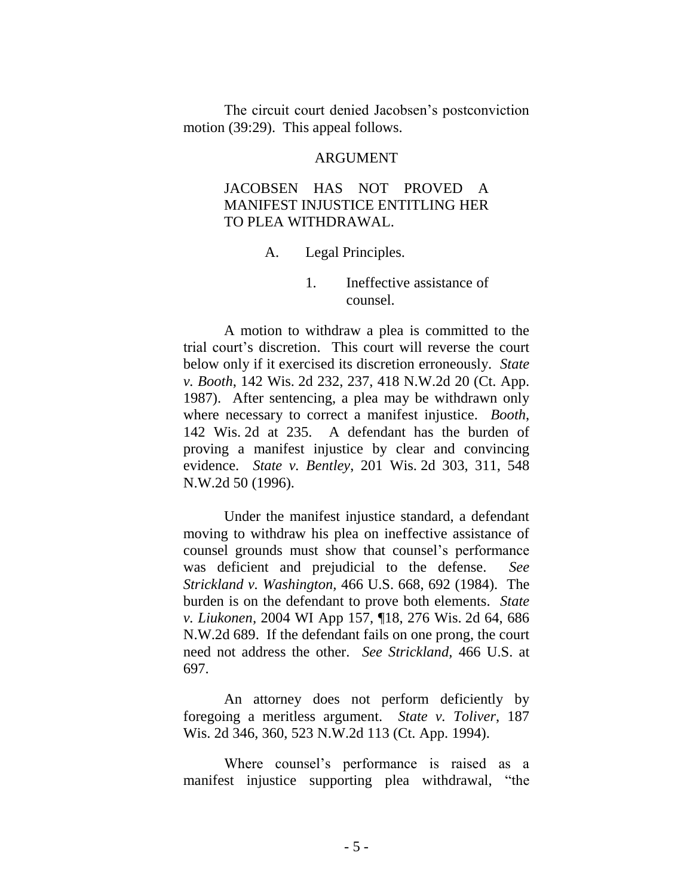The circuit court denied Jacobsen's postconviction motion (39:29). This appeal follows.

#### ARGUMENT

#### JACOBSEN HAS NOT PROVED A MANIFEST INJUSTICE ENTITLING HER TO PLEA WITHDRAWAL.

A. Legal Principles.

1. Ineffective assistance of counsel.

A motion to withdraw a plea is committed to the trial court's discretion. This court will reverse the court below only if it exercised its discretion erroneously. *State v. Booth*, 142 Wis. 2d 232, 237, 418 N.W.2d 20 (Ct. App. 1987). After sentencing, a plea may be withdrawn only where necessary to correct a manifest injustice. *Booth*, 142 Wis. 2d at 235. A defendant has the burden of proving a manifest injustice by clear and convincing evidence. *State v. Bentley*, 201 Wis. 2d 303, 311, 548 N.W.2d 50 (1996).

Under the manifest injustice standard, a defendant moving to withdraw his plea on ineffective assistance of counsel grounds must show that counsel's performance was deficient and prejudicial to the defense. *See Strickland v. Washington,* 466 U.S. 668, 692 (1984). The burden is on the defendant to prove both elements. *State v. Liukonen,* 2004 WI App 157, ¶18, 276 Wis. 2d 64, 686 N.W.2d 689. If the defendant fails on one prong, the court need not address the other. *See Strickland,* 466 U.S. at 697.

An attorney does not perform deficiently by foregoing a meritless argument. *State v. Toliver*, 187 Wis. 2d 346, 360, 523 N.W.2d 113 (Ct. App. 1994).

Where counsel's performance is raised as a manifest injustice supporting plea withdrawal, "the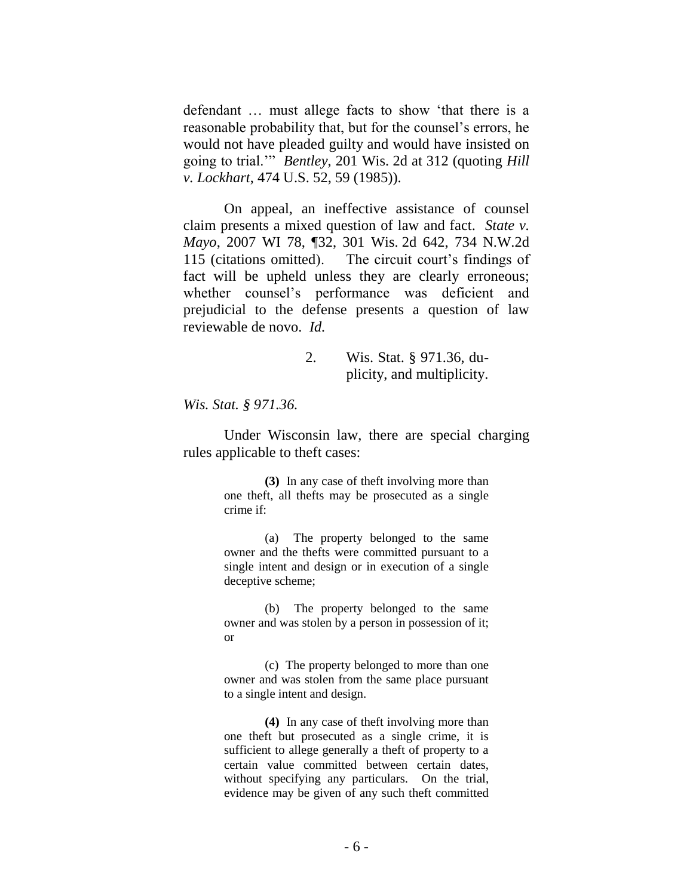defendant … must allege facts to show 'that there is a reasonable probability that, but for the counsel's errors, he would not have pleaded guilty and would have insisted on going to trial.'" *Bentley*, 201 Wis. 2d at 312 (quoting *Hill v. Lockhart*, 474 U.S. 52, 59 (1985)).

On appeal, an ineffective assistance of counsel claim presents a mixed question of law and fact. *State v. Mayo*, 2007 WI 78, ¶32, 301 Wis. 2d 642, 734 N.W.2d 115 (citations omitted). The circuit court's findings of fact will be upheld unless they are clearly erroneous; whether counsel's performance was deficient and prejudicial to the defense presents a question of law reviewable de novo. *Id.*

> 2. Wis. Stat. § 971.36, duplicity, and multiplicity.

*Wis. Stat. § 971.36.*

Under Wisconsin law, there are special charging rules applicable to theft cases:

> **(3)** In any case of theft involving more than one theft, all thefts may be prosecuted as a single crime if:

> (a) The property belonged to the same owner and the thefts were committed pursuant to a single intent and design or in execution of a single deceptive scheme;

> (b) The property belonged to the same owner and was stolen by a person in possession of it; or

> (c) The property belonged to more than one owner and was stolen from the same place pursuant to a single intent and design.

> **(4)** In any case of theft involving more than one theft but prosecuted as a single crime, it is sufficient to allege generally a theft of property to a certain value committed between certain dates, without specifying any particulars. On the trial, evidence may be given of any such theft committed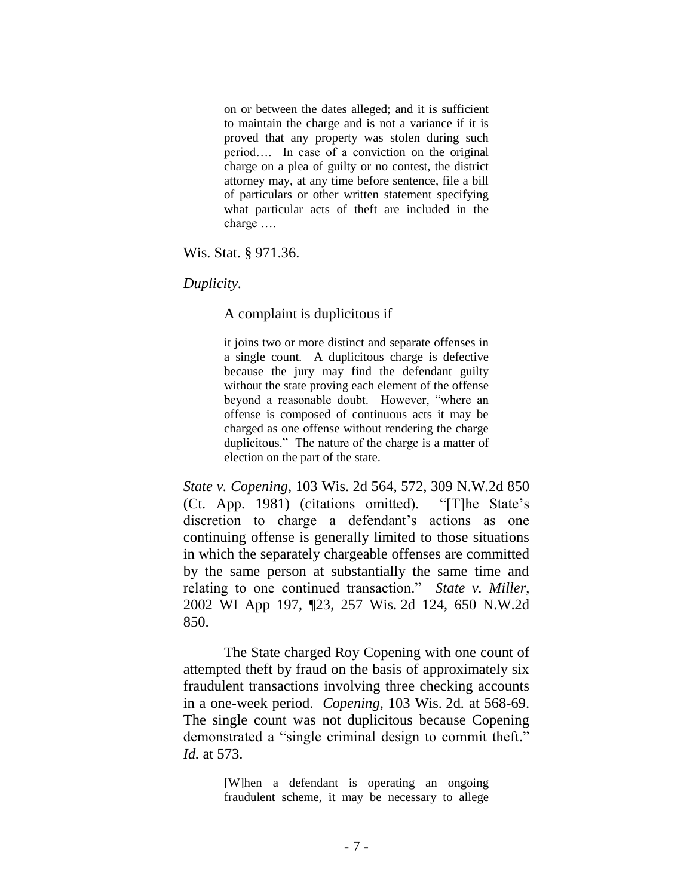on or between the dates alleged; and it is sufficient to maintain the charge and is not a variance if it is proved that any property was stolen during such period…. In case of a conviction on the original charge on a plea of guilty or no contest, the district attorney may, at any time before sentence, file a bill of particulars or other written statement specifying what particular acts of theft are included in the charge ….

Wis. Stat. § 971.36.

*Duplicity.*

A complaint is duplicitous if

it joins two or more distinct and separate offenses in a single count. A duplicitous charge is defective because the jury may find the defendant guilty without the state proving each element of the offense beyond a reasonable doubt. However, "where an offense is composed of continuous acts it may be charged as one offense without rendering the charge duplicitous." The nature of the charge is a matter of election on the part of the state.

*State v. Copening*, 103 Wis. 2d 564, 572, 309 N.W.2d 850 (Ct. App. 1981) (citations omitted). "[T]he State's discretion to charge a defendant's actions as one continuing offense is generally limited to those situations in which the separately chargeable offenses are committed by the same person at substantially the same time and relating to one continued transaction." *State v. Miller*, 2002 WI App 197, ¶23, 257 Wis. 2d 124, 650 N.W.2d 850.

The State charged Roy Copening with one count of attempted theft by fraud on the basis of approximately six fraudulent transactions involving three checking accounts in a one-week period. *Copening*, 103 Wis. 2d*.* at 568-69. The single count was not duplicitous because Copening demonstrated a "single criminal design to commit theft." *Id.* at 573.

> [W]hen a defendant is operating an ongoing fraudulent scheme, it may be necessary to allege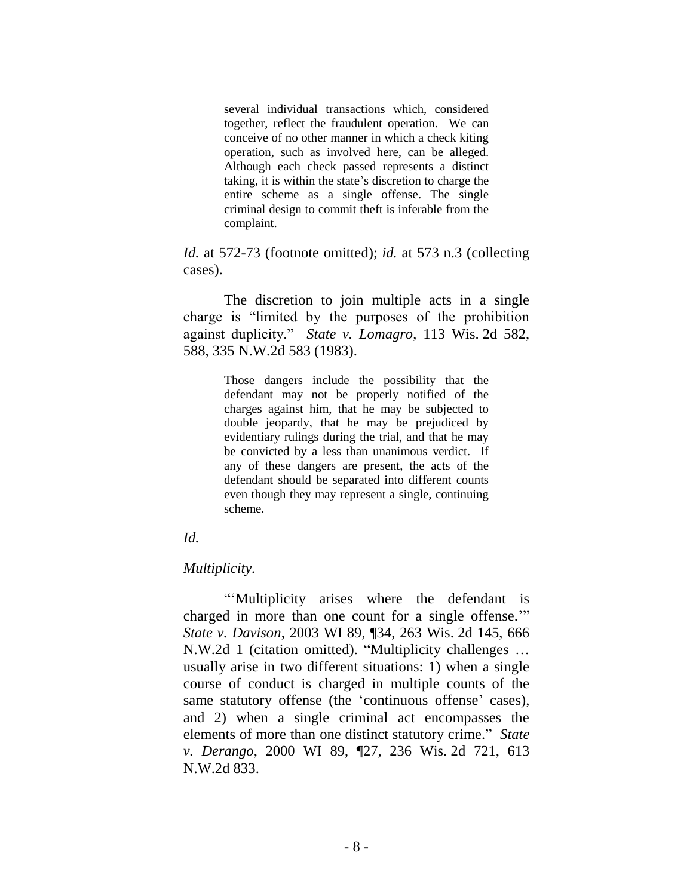several individual transactions which, considered together, reflect the fraudulent operation. We can conceive of no other manner in which a check kiting operation, such as involved here, can be alleged. Although each check passed represents a distinct taking, it is within the state's discretion to charge the entire scheme as a single offense. The single criminal design to commit theft is inferable from the complaint.

*Id.* at 572-73 (footnote omitted); *id.* at 573 n.3 (collecting cases).

The discretion to join multiple acts in a single charge is "limited by the purposes of the prohibition against duplicity." *State v. Lomagro*, 113 Wis. 2d 582, 588, 335 N.W.2d 583 (1983).

> Those dangers include the possibility that the defendant may not be properly notified of the charges against him, that he may be subjected to double jeopardy, that he may be prejudiced by evidentiary rulings during the trial, and that he may be convicted by a less than unanimous verdict. If any of these dangers are present, the acts of the defendant should be separated into different counts even though they may represent a single, continuing scheme.

#### *Id.*

#### *Multiplicity.*

"'Multiplicity arises where the defendant is charged in more than one count for a single offense.'" *State v. Davison*, 2003 WI 89, ¶34, 263 Wis. 2d 145, 666 N.W.2d 1 (citation omitted). "Multiplicity challenges … usually arise in two different situations: 1) when a single course of conduct is charged in multiple counts of the same statutory offense (the 'continuous offense' cases), and 2) when a single criminal act encompasses the elements of more than one distinct statutory crime." *State v. Derango*, 2000 WI 89, ¶27, 236 Wis. 2d 721, 613 N.W.2d 833.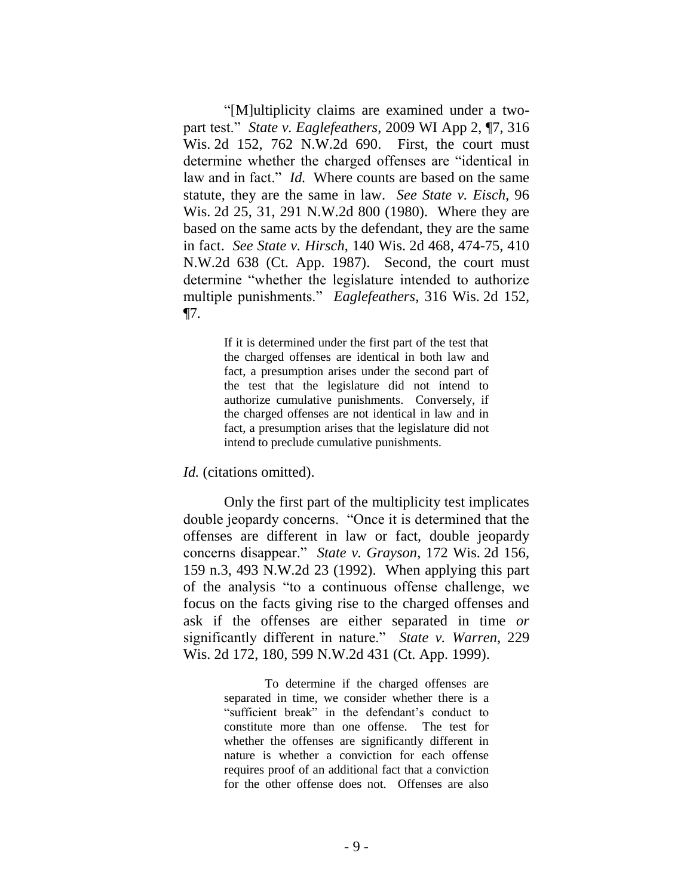"[M]ultiplicity claims are examined under a twopart test." *State v. Eaglefeathers*, 2009 WI App 2, ¶7, 316 Wis. 2d 152, 762 N.W.2d 690. First, the court must determine whether the charged offenses are "identical in law and in fact." *Id.* Where counts are based on the same statute, they are the same in law. *See State v. Eisch*, 96 Wis. 2d 25, 31, 291 N.W.2d 800 (1980). Where they are based on the same acts by the defendant, they are the same in fact. *See State v. Hirsch*, 140 Wis. 2d 468, 474-75, 410 N.W.2d 638 (Ct. App. 1987). Second, the court must determine "whether the legislature intended to authorize multiple punishments." *Eaglefeathers*, 316 Wis. 2d 152, ¶7*.*

> If it is determined under the first part of the test that the charged offenses are identical in both law and fact, a presumption arises under the second part of the test that the legislature did not intend to authorize cumulative punishments. Conversely, if the charged offenses are not identical in law and in fact, a presumption arises that the legislature did not intend to preclude cumulative punishments.

*Id.* (citations omitted).

Only the first part of the multiplicity test implicates double jeopardy concerns. "Once it is determined that the offenses are different in law or fact, double jeopardy concerns disappear." *State v. Grayson*, 172 Wis. 2d 156, 159 n.3, 493 N.W.2d 23 (1992). When applying this part of the analysis "to a continuous offense challenge, we focus on the facts giving rise to the charged offenses and ask if the offenses are either separated in time *or* significantly different in nature." *State v. Warren*, 229 Wis. 2d 172, 180, 599 N.W.2d 431 (Ct. App. 1999).

> To determine if the charged offenses are separated in time, we consider whether there is a "sufficient break" in the defendant's conduct to constitute more than one offense. The test for whether the offenses are significantly different in nature is whether a conviction for each offense requires proof of an additional fact that a conviction for the other offense does not. Offenses are also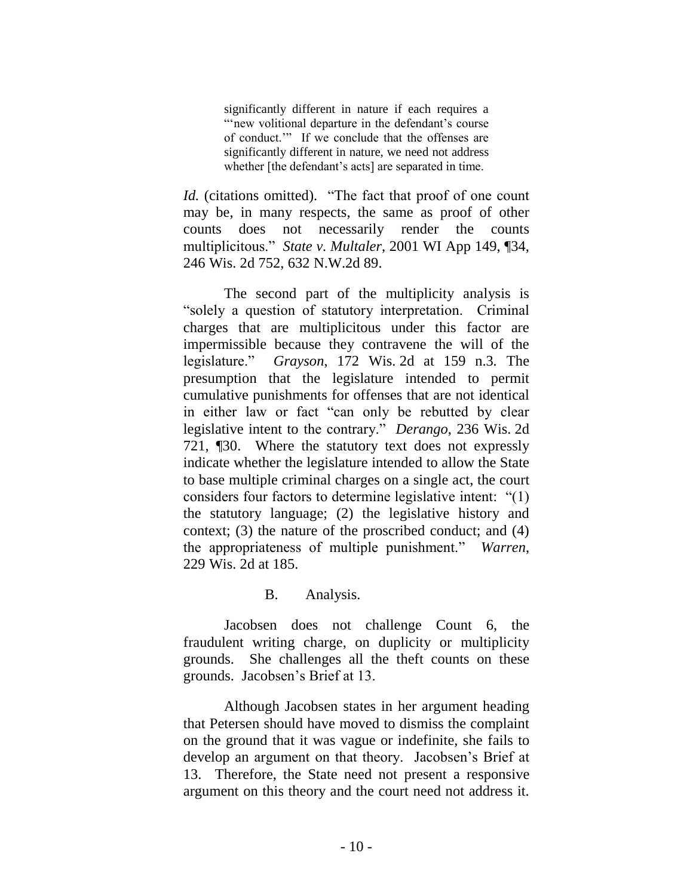significantly different in nature if each requires a "'new volitional departure in the defendant's course of conduct.'" If we conclude that the offenses are significantly different in nature, we need not address whether [the defendant's acts] are separated in time.

*Id.* (citations omitted). "The fact that proof of one count may be, in many respects, the same as proof of other counts does not necessarily render the counts multiplicitous." *State v. Multaler*, 2001 WI App 149, ¶34, 246 Wis. 2d 752, 632 N.W.2d 89.

The second part of the multiplicity analysis is "solely a question of statutory interpretation. Criminal charges that are multiplicitous under this factor are impermissible because they contravene the will of the legislature." *Grayson*, 172 Wis. 2d at 159 n.3*.* The presumption that the legislature intended to permit cumulative punishments for offenses that are not identical in either law or fact "can only be rebutted by clear legislative intent to the contrary." *Derango*, 236 Wis. 2d 721, ¶30. Where the statutory text does not expressly indicate whether the legislature intended to allow the State to base multiple criminal charges on a single act, the court considers four factors to determine legislative intent: "(1) the statutory language; (2) the legislative history and context; (3) the nature of the proscribed conduct; and (4) the appropriateness of multiple punishment." *Warren*, 229 Wis. 2d at 185.

#### B. Analysis.

Jacobsen does not challenge Count 6, the fraudulent writing charge, on duplicity or multiplicity grounds. She challenges all the theft counts on these grounds. Jacobsen's Brief at 13.

Although Jacobsen states in her argument heading that Petersen should have moved to dismiss the complaint on the ground that it was vague or indefinite, she fails to develop an argument on that theory. Jacobsen's Brief at 13. Therefore, the State need not present a responsive argument on this theory and the court need not address it.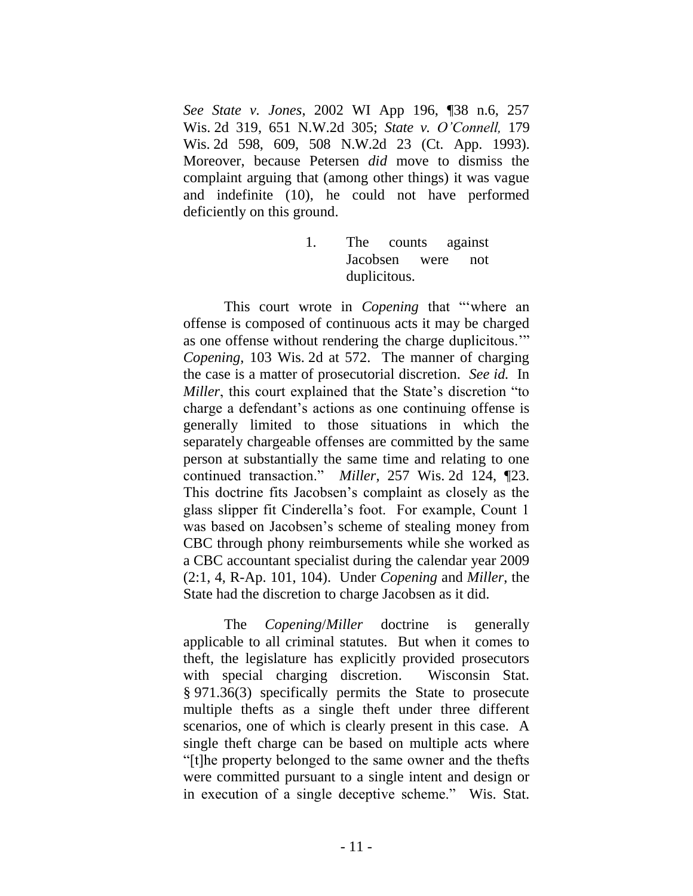*See State v. Jones*, 2002 WI App 196, ¶38 n.6, 257 Wis. 2d 319, 651 N.W.2d 305; *State v. O'Connell,* 179 Wis. 2d 598, 609, 508 N.W.2d 23 (Ct. App. 1993). Moreover, because Petersen *did* move to dismiss the complaint arguing that (among other things) it was vague and indefinite (10), he could not have performed deficiently on this ground.

> 1. The counts against Jacobsen were not duplicitous.

This court wrote in *Copening* that "'where an offense is composed of continuous acts it may be charged as one offense without rendering the charge duplicitous.'" *Copening*, 103 Wis. 2d at 572. The manner of charging the case is a matter of prosecutorial discretion. *See id.* In *Miller*, this court explained that the State's discretion "to charge a defendant's actions as one continuing offense is generally limited to those situations in which the separately chargeable offenses are committed by the same person at substantially the same time and relating to one continued transaction." *Miller*, 257 Wis. 2d 124, ¶23. This doctrine fits Jacobsen's complaint as closely as the glass slipper fit Cinderella's foot. For example, Count 1 was based on Jacobsen's scheme of stealing money from CBC through phony reimbursements while she worked as a CBC accountant specialist during the calendar year 2009 (2:1, 4, R-Ap. 101, 104). Under *Copening* and *Miller*, the State had the discretion to charge Jacobsen as it did.

The *Copening*/*Miller* doctrine is generally applicable to all criminal statutes. But when it comes to theft, the legislature has explicitly provided prosecutors with special charging discretion. Wisconsin Stat. § 971.36(3) specifically permits the State to prosecute multiple thefts as a single theft under three different scenarios, one of which is clearly present in this case. A single theft charge can be based on multiple acts where "[t]he property belonged to the same owner and the thefts were committed pursuant to a single intent and design or in execution of a single deceptive scheme." Wis. Stat.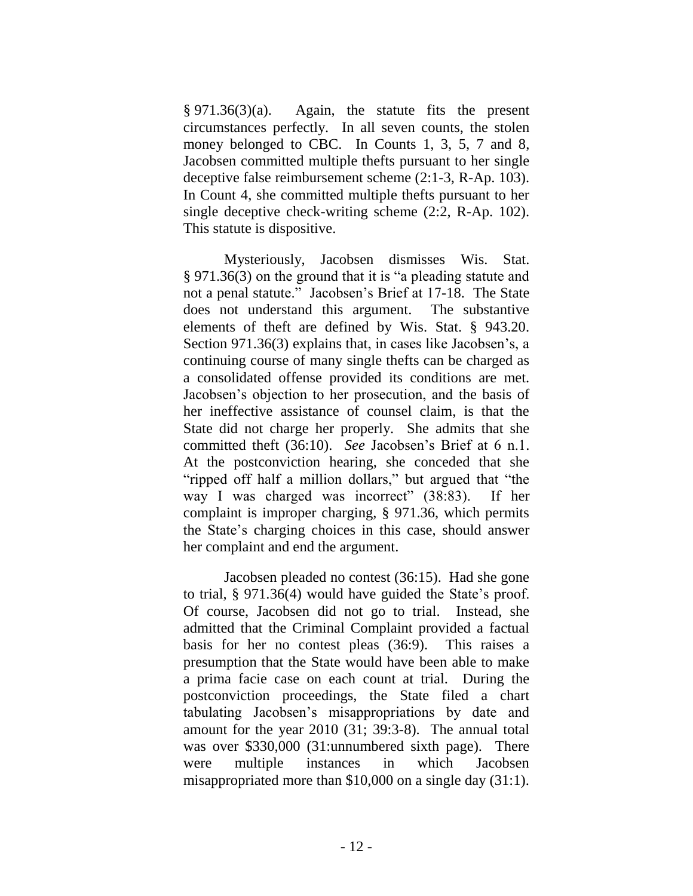§ 971.36(3)(a). Again, the statute fits the present circumstances perfectly. In all seven counts, the stolen money belonged to CBC. In Counts 1, 3, 5, 7 and 8, Jacobsen committed multiple thefts pursuant to her single deceptive false reimbursement scheme (2:1-3, R-Ap. 103). In Count 4, she committed multiple thefts pursuant to her single deceptive check-writing scheme (2:2, R-Ap. 102). This statute is dispositive.

Mysteriously, Jacobsen dismisses Wis. Stat. § 971.36(3) on the ground that it is "a pleading statute and not a penal statute." Jacobsen's Brief at 17-18. The State does not understand this argument. The substantive elements of theft are defined by Wis. Stat. § 943.20. Section 971.36(3) explains that, in cases like Jacobsen's, a continuing course of many single thefts can be charged as a consolidated offense provided its conditions are met. Jacobsen's objection to her prosecution, and the basis of her ineffective assistance of counsel claim, is that the State did not charge her properly. She admits that she committed theft (36:10). *See* Jacobsen's Brief at 6 n.1. At the postconviction hearing, she conceded that she "ripped off half a million dollars," but argued that "the way I was charged was incorrect" (38:83). If her complaint is improper charging, § 971.36, which permits the State's charging choices in this case, should answer her complaint and end the argument.

Jacobsen pleaded no contest (36:15). Had she gone to trial, § 971.36(4) would have guided the State's proof. Of course, Jacobsen did not go to trial. Instead, she admitted that the Criminal Complaint provided a factual basis for her no contest pleas (36:9). This raises a presumption that the State would have been able to make a prima facie case on each count at trial. During the postconviction proceedings, the State filed a chart tabulating Jacobsen's misappropriations by date and amount for the year 2010 (31; 39:3-8). The annual total was over \$330,000 (31:unnumbered sixth page). There were multiple instances in which Jacobsen misappropriated more than \$10,000 on a single day (31:1).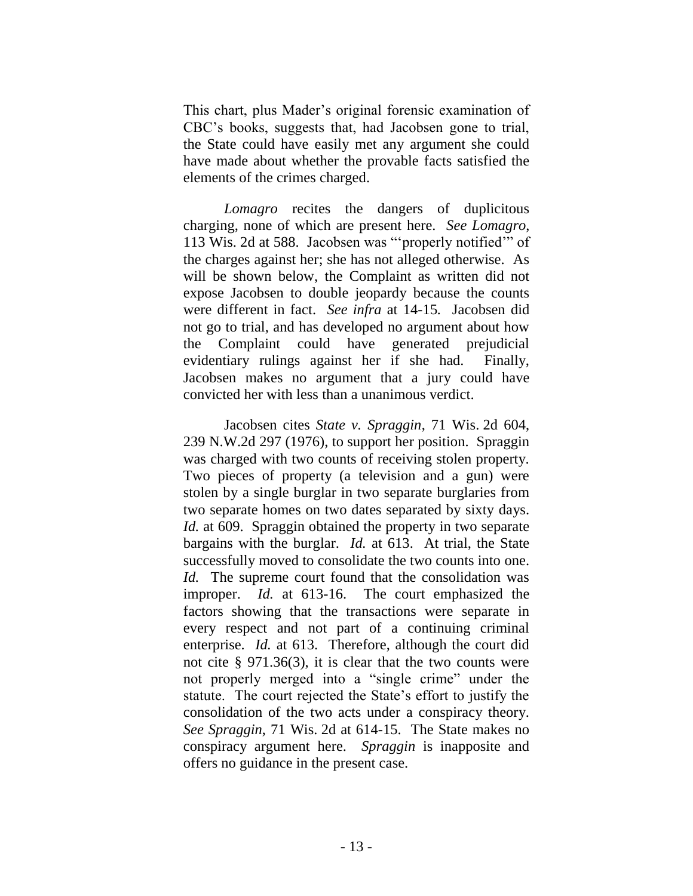This chart, plus Mader's original forensic examination of CBC's books, suggests that, had Jacobsen gone to trial, the State could have easily met any argument she could have made about whether the provable facts satisfied the elements of the crimes charged.

*Lomagro* recites the dangers of duplicitous charging, none of which are present here. *See Lomagro*, 113 Wis. 2d at 588. Jacobsen was "'properly notified'" of the charges against her; she has not alleged otherwise. As will be shown below, the Complaint as written did not expose Jacobsen to double jeopardy because the counts were different in fact. *See infra* at 14-15*.* Jacobsen did not go to trial, and has developed no argument about how the Complaint could have generated prejudicial evidentiary rulings against her if she had. Finally, Jacobsen makes no argument that a jury could have convicted her with less than a unanimous verdict.

Jacobsen cites *State v. Spraggin*, 71 Wis. 2d 604, 239 N.W.2d 297 (1976), to support her position. Spraggin was charged with two counts of receiving stolen property. Two pieces of property (a television and a gun) were stolen by a single burglar in two separate burglaries from two separate homes on two dates separated by sixty days. *Id.* at 609. Spraggin obtained the property in two separate bargains with the burglar. *Id.* at 613. At trial, the State successfully moved to consolidate the two counts into one. *Id.* The supreme court found that the consolidation was improper. *Id.* at 613-16. The court emphasized the factors showing that the transactions were separate in every respect and not part of a continuing criminal enterprise. *Id.* at 613. Therefore, although the court did not cite § 971.36(3), it is clear that the two counts were not properly merged into a "single crime" under the statute. The court rejected the State's effort to justify the consolidation of the two acts under a conspiracy theory. *See Spraggin*, 71 Wis. 2d at 614-15. The State makes no conspiracy argument here. *Spraggin* is inapposite and offers no guidance in the present case.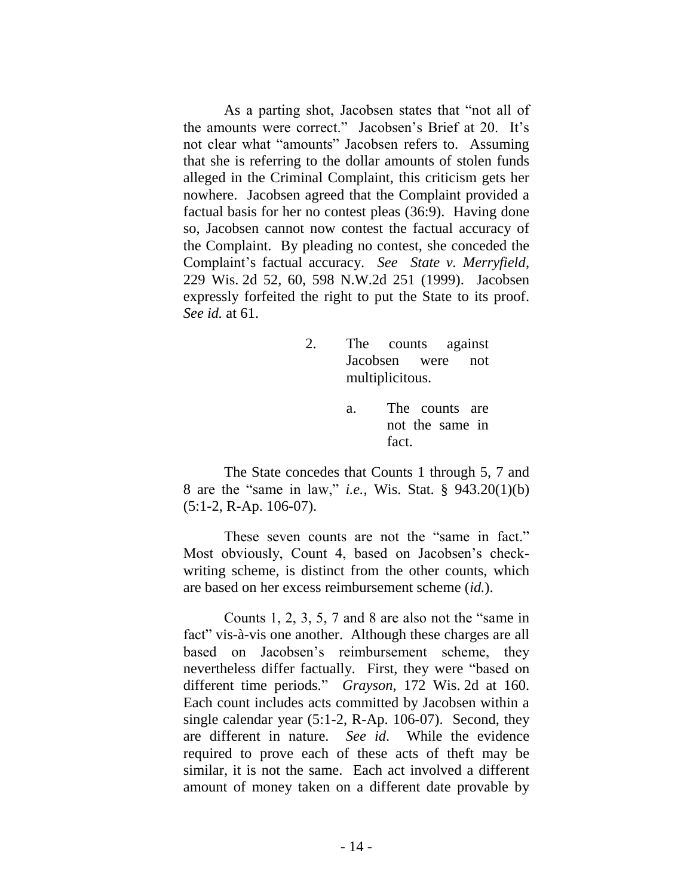As a parting shot, Jacobsen states that "not all of the amounts were correct." Jacobsen's Brief at 20. It's not clear what "amounts" Jacobsen refers to. Assuming that she is referring to the dollar amounts of stolen funds alleged in the Criminal Complaint, this criticism gets her nowhere. Jacobsen agreed that the Complaint provided a factual basis for her no contest pleas (36:9). Having done so, Jacobsen cannot now contest the factual accuracy of the Complaint. By pleading no contest, she conceded the Complaint's factual accuracy. *See State v. Merryfield*, 229 Wis. 2d 52, 60, 598 N.W.2d 251 (1999). Jacobsen expressly forfeited the right to put the State to its proof. *See id.* at 61.

- 2. The counts against Jacobsen were not multiplicitous.
	- a. The counts are not the same in fact.

The State concedes that Counts 1 through 5, 7 and 8 are the "same in law," *i.e.*, Wis. Stat. § 943.20(1)(b) (5:1-2, R-Ap. 106-07).

These seven counts are not the "same in fact." Most obviously, Count 4, based on Jacobsen's checkwriting scheme, is distinct from the other counts, which are based on her excess reimbursement scheme (*id.*).

Counts 1, 2, 3, 5, 7 and 8 are also not the "same in fact" vis-à-vis one another. Although these charges are all based on Jacobsen's reimbursement scheme, they nevertheless differ factually. First, they were "based on different time periods." *Grayson*, 172 Wis. 2d at 160. Each count includes acts committed by Jacobsen within a single calendar year (5:1-2, R-Ap. 106-07). Second, they are different in nature. *See id*. While the evidence required to prove each of these acts of theft may be similar, it is not the same. Each act involved a different amount of money taken on a different date provable by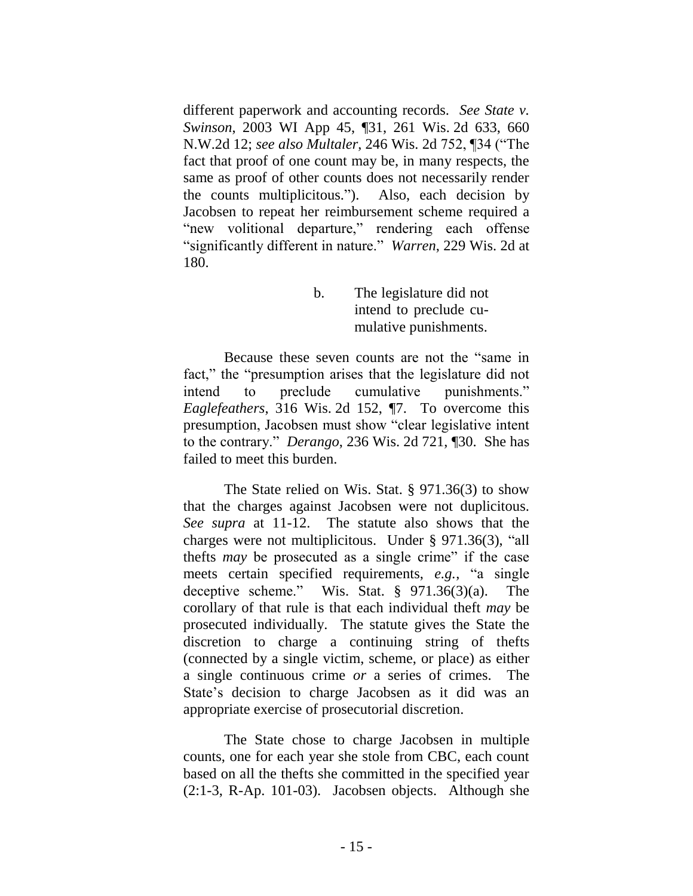different paperwork and accounting records. *See State v. Swinson*, 2003 WI App 45, ¶31, 261 Wis. 2d 633, 660 N.W.2d 12; *see also Multaler*, 246 Wis. 2d 752, ¶34 ("The fact that proof of one count may be, in many respects, the same as proof of other counts does not necessarily render the counts multiplicitous."). Also, each decision by Jacobsen to repeat her reimbursement scheme required a "new volitional departure," rendering each offense "significantly different in nature." *Warren*, 229 Wis. 2d at 180.

> b. The legislature did not intend to preclude cumulative punishments.

Because these seven counts are not the "same in fact," the "presumption arises that the legislature did not intend to preclude cumulative punishments." *Eaglefeathers*, 316 Wis. 2d 152, ¶7. To overcome this presumption, Jacobsen must show "clear legislative intent to the contrary." *Derango*, 236 Wis. 2d 721, ¶30. She has failed to meet this burden.

The State relied on Wis. Stat. § 971.36(3) to show that the charges against Jacobsen were not duplicitous. *See supra* at 11-12. The statute also shows that the charges were not multiplicitous. Under § 971.36(3), "all thefts *may* be prosecuted as a single crime" if the case meets certain specified requirements, *e.g.*, "a single deceptive scheme." Wis. Stat. § 971.36(3)(a). The corollary of that rule is that each individual theft *may* be prosecuted individually. The statute gives the State the discretion to charge a continuing string of thefts (connected by a single victim, scheme, or place) as either a single continuous crime *or* a series of crimes. The State's decision to charge Jacobsen as it did was an appropriate exercise of prosecutorial discretion.

The State chose to charge Jacobsen in multiple counts, one for each year she stole from CBC, each count based on all the thefts she committed in the specified year (2:1-3, R-Ap. 101-03). Jacobsen objects. Although she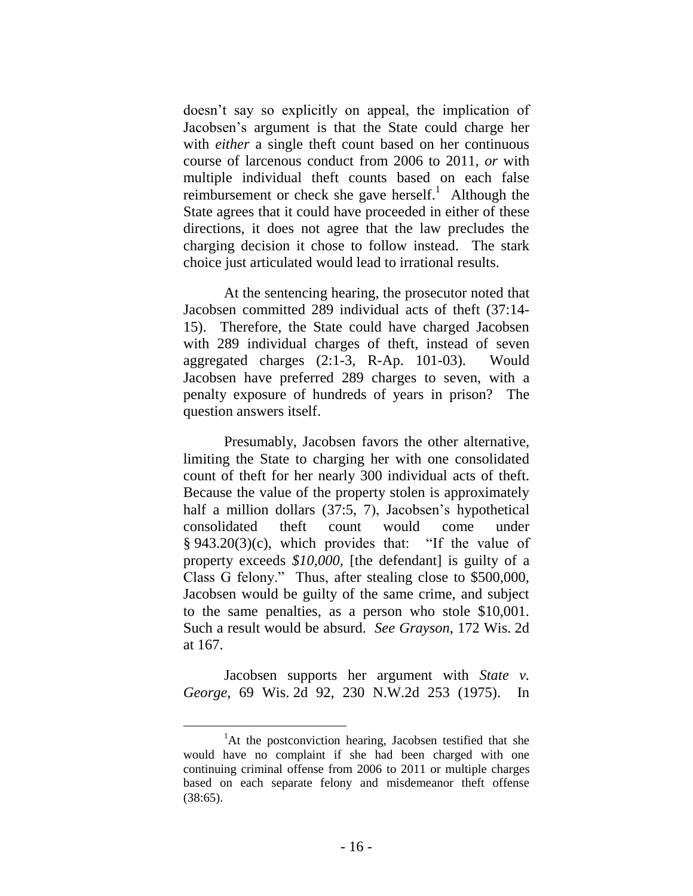doesn't say so explicitly on appeal, the implication of Jacobsen's argument is that the State could charge her with *either* a single theft count based on her continuous course of larcenous conduct from 2006 to 2011, *or* with multiple individual theft counts based on each false reimbursement or check she gave herself.<sup>1</sup> Although the State agrees that it could have proceeded in either of these directions, it does not agree that the law precludes the charging decision it chose to follow instead. The stark choice just articulated would lead to irrational results.

At the sentencing hearing, the prosecutor noted that Jacobsen committed 289 individual acts of theft (37:14- 15). Therefore, the State could have charged Jacobsen with 289 individual charges of theft, instead of seven aggregated charges (2:1-3, R-Ap. 101-03). Would Jacobsen have preferred 289 charges to seven, with a penalty exposure of hundreds of years in prison? The question answers itself.

Presumably, Jacobsen favors the other alternative, limiting the State to charging her with one consolidated count of theft for her nearly 300 individual acts of theft. Because the value of the property stolen is approximately half a million dollars (37:5, 7), Jacobsen's hypothetical consolidated theft count would come under  $§ 943.20(3)(c)$ , which provides that: "If the value of property exceeds *\$10,000*, [the defendant] is guilty of a Class G felony." Thus, after stealing close to \$500,000, Jacobsen would be guilty of the same crime, and subject to the same penalties, as a person who stole \$10,001. Such a result would be absurd. *See Grayson*, 172 Wis. 2d at 167.

Jacobsen supports her argument with *State v. George*, 69 Wis. 2d 92, 230 N.W.2d 253 (1975). In

 ${}^{1}$ At the postconviction hearing, Jacobsen testified that she would have no complaint if she had been charged with one continuing criminal offense from 2006 to 2011 or multiple charges based on each separate felony and misdemeanor theft offense (38:65).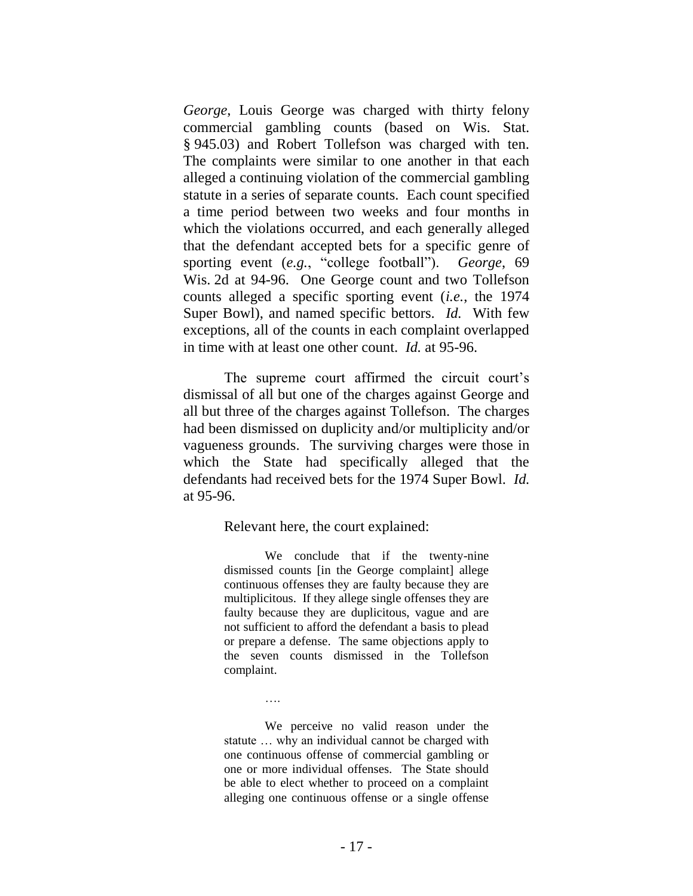*George*, Louis George was charged with thirty felony commercial gambling counts (based on Wis. Stat. § 945.03) and Robert Tollefson was charged with ten. The complaints were similar to one another in that each alleged a continuing violation of the commercial gambling statute in a series of separate counts. Each count specified a time period between two weeks and four months in which the violations occurred, and each generally alleged that the defendant accepted bets for a specific genre of sporting event (*e.g.*, "college football"). *George*, 69 Wis. 2d at 94-96. One George count and two Tollefson counts alleged a specific sporting event (*i.e.*, the 1974 Super Bowl), and named specific bettors. *Id.* With few exceptions, all of the counts in each complaint overlapped in time with at least one other count. *Id.* at 95-96.

The supreme court affirmed the circuit court's dismissal of all but one of the charges against George and all but three of the charges against Tollefson. The charges had been dismissed on duplicity and/or multiplicity and/or vagueness grounds. The surviving charges were those in which the State had specifically alleged that the defendants had received bets for the 1974 Super Bowl. *Id.*  at 95-96.

Relevant here, the court explained:

….

We conclude that if the twenty-nine dismissed counts [in the George complaint] allege continuous offenses they are faulty because they are multiplicitous. If they allege single offenses they are faulty because they are duplicitous, vague and are not sufficient to afford the defendant a basis to plead or prepare a defense. The same objections apply to the seven counts dismissed in the Tollefson complaint.

We perceive no valid reason under the statute … why an individual cannot be charged with one continuous offense of commercial gambling or one or more individual offenses. The State should be able to elect whether to proceed on a complaint alleging one continuous offense or a single offense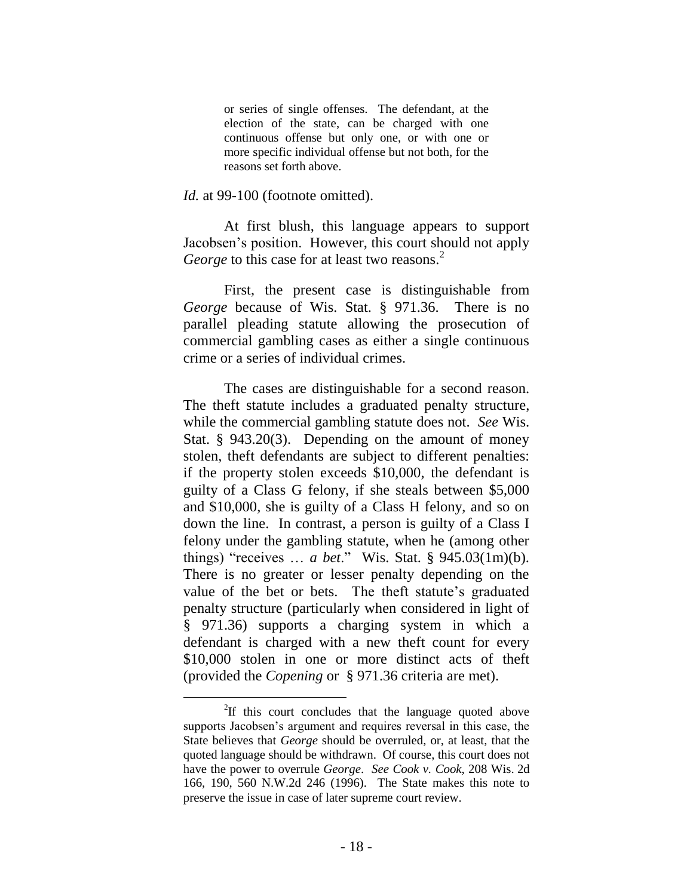or series of single offenses. The defendant, at the election of the state, can be charged with one continuous offense but only one, or with one or more specific individual offense but not both, for the reasons set forth above.

#### *Id.* at 99-100 (footnote omitted).

At first blush, this language appears to support Jacobsen's position. However, this court should not apply George to this case for at least two reasons.<sup>2</sup>

First, the present case is distinguishable from *George* because of Wis. Stat. § 971.36. There is no parallel pleading statute allowing the prosecution of commercial gambling cases as either a single continuous crime or a series of individual crimes.

The cases are distinguishable for a second reason. The theft statute includes a graduated penalty structure, while the commercial gambling statute does not. *See* Wis. Stat. § 943.20(3). Depending on the amount of money stolen, theft defendants are subject to different penalties: if the property stolen exceeds \$10,000, the defendant is guilty of a Class G felony, if she steals between \$5,000 and \$10,000, she is guilty of a Class H felony, and so on down the line. In contrast, a person is guilty of a Class I felony under the gambling statute, when he (among other things) "receives … *a bet*." Wis. Stat. § 945.03(1m)(b). There is no greater or lesser penalty depending on the value of the bet or bets. The theft statute's graduated penalty structure (particularly when considered in light of § 971.36) supports a charging system in which a defendant is charged with a new theft count for every \$10,000 stolen in one or more distinct acts of theft (provided the *Copening* or § 971.36 criteria are met).

 $\overline{a}$ 

 ${}^{2}$ If this court concludes that the language quoted above supports Jacobsen's argument and requires reversal in this case, the State believes that *George* should be overruled, or, at least, that the quoted language should be withdrawn. Of course, this court does not have the power to overrule *George*. *See Cook v. Cook*, 208 Wis. 2d 166, 190, 560 N.W.2d 246 (1996). The State makes this note to preserve the issue in case of later supreme court review.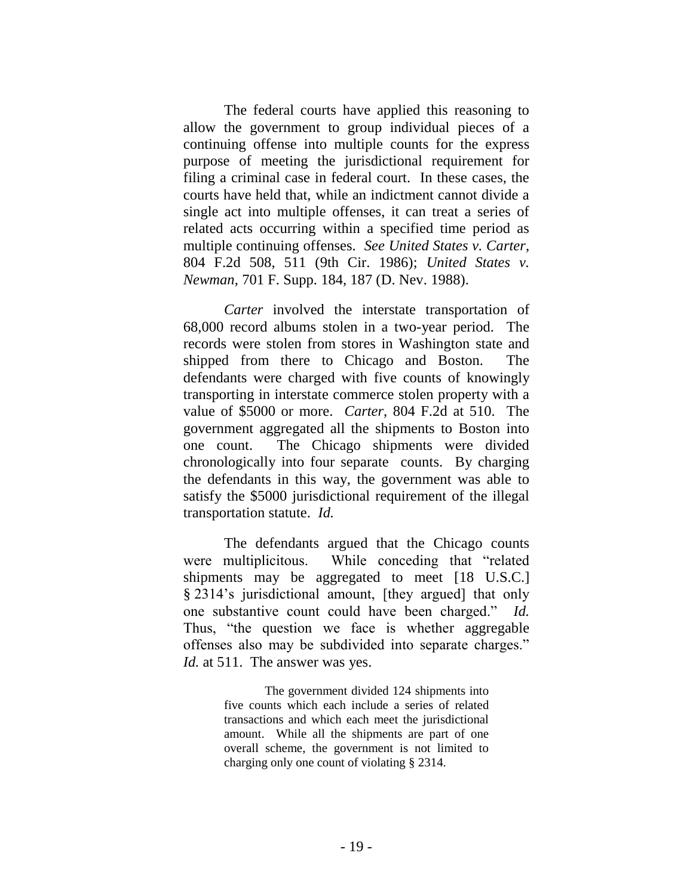The federal courts have applied this reasoning to allow the government to group individual pieces of a continuing offense into multiple counts for the express purpose of meeting the jurisdictional requirement for filing a criminal case in federal court. In these cases, the courts have held that, while an indictment cannot divide a single act into multiple offenses, it can treat a series of related acts occurring within a specified time period as multiple continuing offenses. *See United States v. Carter*, 804 F.2d 508, 511 (9th Cir. 1986); *United States v. Newman*, 701 F. Supp. 184, 187 (D. Nev. 1988).

*Carter* involved the interstate transportation of 68,000 record albums stolen in a two-year period. The records were stolen from stores in Washington state and shipped from there to Chicago and Boston. The defendants were charged with five counts of knowingly transporting in interstate commerce stolen property with a value of \$5000 or more. *Carter*, 804 F.2d at 510. The government aggregated all the shipments to Boston into one count. The Chicago shipments were divided chronologically into four separate counts. By charging the defendants in this way, the government was able to satisfy the \$5000 jurisdictional requirement of the illegal transportation statute. *Id.*

The defendants argued that the Chicago counts were multiplicitous. While conceding that "related shipments may be aggregated to meet [18 U.S.C.] § 2314's jurisdictional amount, [they argued] that only one substantive count could have been charged." *Id.* Thus, "the question we face is whether aggregable offenses also may be subdivided into separate charges." *Id.* at 511. The answer was yes.

> The government divided 124 shipments into five counts which each include a series of related transactions and which each meet the jurisdictional amount. While all the shipments are part of one overall scheme, the government is not limited to charging only one count of violating § 2314.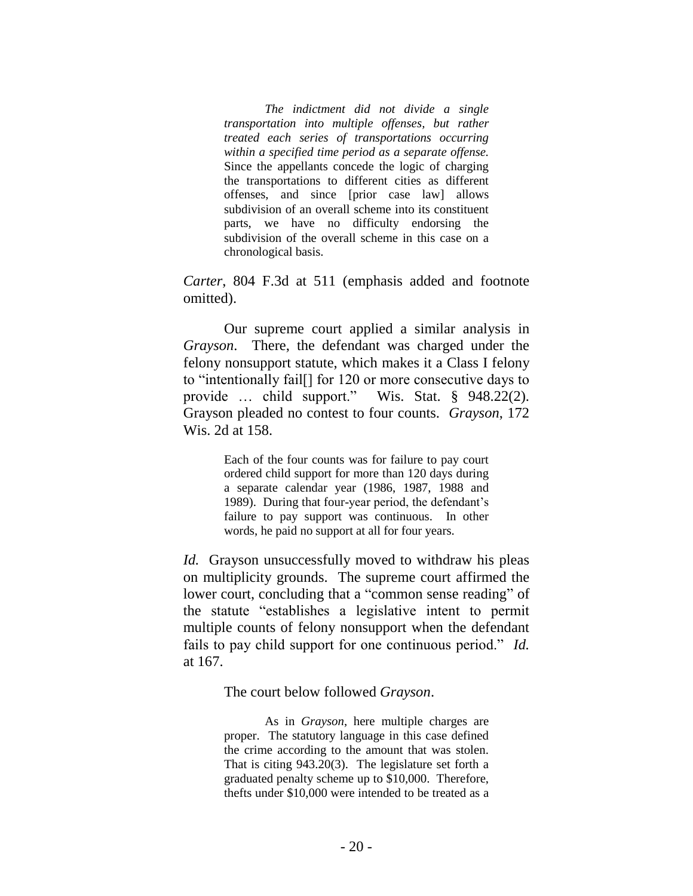*The indictment did not divide a single transportation into multiple offenses, but rather treated each series of transportations occurring within a specified time period as a separate offense.*  Since the appellants concede the logic of charging the transportations to different cities as different offenses, and since [prior case law] allows subdivision of an overall scheme into its constituent parts, we have no difficulty endorsing the subdivision of the overall scheme in this case on a chronological basis.

*Carter*, 804 F.3d at 511 (emphasis added and footnote omitted).

Our supreme court applied a similar analysis in *Grayson*. There, the defendant was charged under the felony nonsupport statute, which makes it a Class I felony to "intentionally fail[] for 120 or more consecutive days to provide … child support." Wis. Stat. § 948.22(2). Grayson pleaded no contest to four counts. *Grayson*, 172 Wis. 2d at 158.

> Each of the four counts was for failure to pay court ordered child support for more than 120 days during a separate calendar year (1986, 1987, 1988 and 1989). During that four-year period, the defendant's failure to pay support was continuous. In other words, he paid no support at all for four years.

*Id.* Grayson unsuccessfully moved to withdraw his pleas on multiplicity grounds. The supreme court affirmed the lower court, concluding that a "common sense reading" of the statute "establishes a legislative intent to permit multiple counts of felony nonsupport when the defendant fails to pay child support for one continuous period." *Id.* at 167.

The court below followed *Grayson*.

As in *Grayson*, here multiple charges are proper. The statutory language in this case defined the crime according to the amount that was stolen. That is citing 943.20(3). The legislature set forth a graduated penalty scheme up to \$10,000. Therefore, thefts under \$10,000 were intended to be treated as a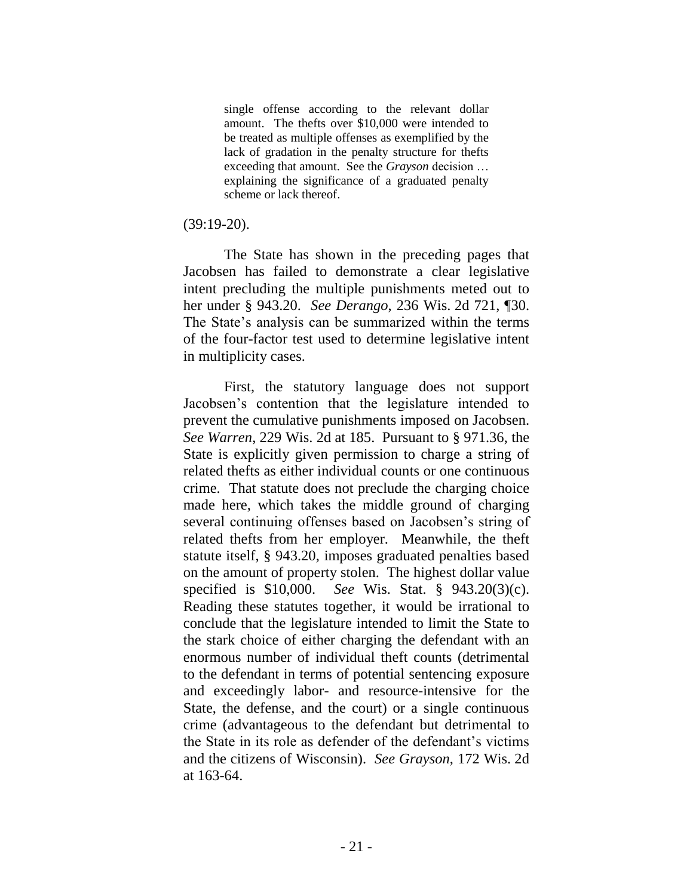single offense according to the relevant dollar amount. The thefts over \$10,000 were intended to be treated as multiple offenses as exemplified by the lack of gradation in the penalty structure for thefts exceeding that amount. See the *Grayson* decision … explaining the significance of a graduated penalty scheme or lack thereof.

#### (39:19-20).

The State has shown in the preceding pages that Jacobsen has failed to demonstrate a clear legislative intent precluding the multiple punishments meted out to her under § 943.20. *See Derango*, 236 Wis. 2d 721, ¶30. The State's analysis can be summarized within the terms of the four-factor test used to determine legislative intent in multiplicity cases.

First, the statutory language does not support Jacobsen's contention that the legislature intended to prevent the cumulative punishments imposed on Jacobsen. *See Warren*, 229 Wis. 2d at 185. Pursuant to § 971.36, the State is explicitly given permission to charge a string of related thefts as either individual counts or one continuous crime. That statute does not preclude the charging choice made here, which takes the middle ground of charging several continuing offenses based on Jacobsen's string of related thefts from her employer. Meanwhile, the theft statute itself, § 943.20, imposes graduated penalties based on the amount of property stolen. The highest dollar value specified is \$10,000. *See* Wis. Stat. § 943.20(3)(c). Reading these statutes together, it would be irrational to conclude that the legislature intended to limit the State to the stark choice of either charging the defendant with an enormous number of individual theft counts (detrimental to the defendant in terms of potential sentencing exposure and exceedingly labor- and resource-intensive for the State, the defense, and the court) or a single continuous crime (advantageous to the defendant but detrimental to the State in its role as defender of the defendant's victims and the citizens of Wisconsin). *See Grayson*, 172 Wis. 2d at 163-64.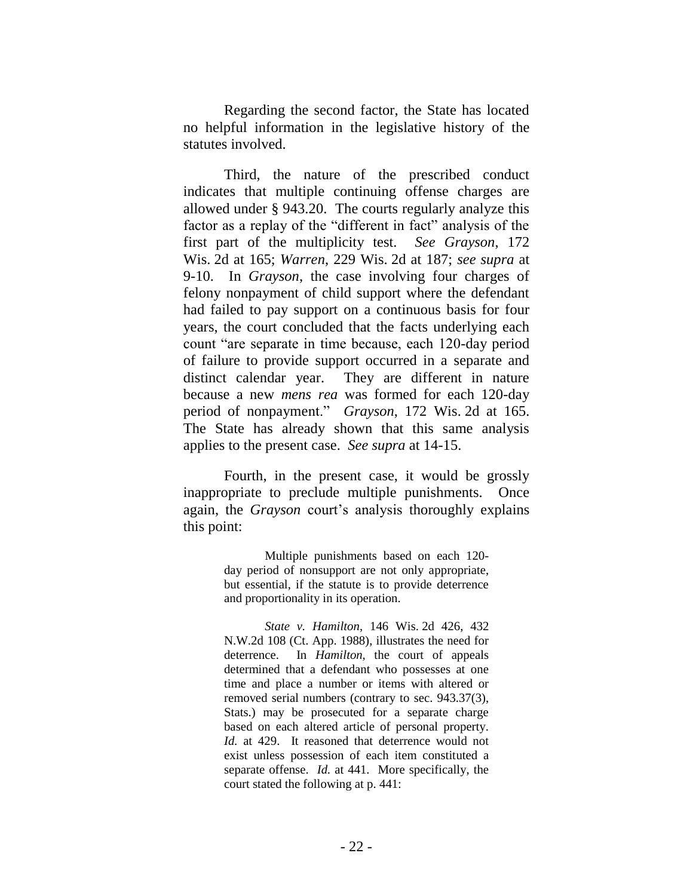Regarding the second factor, the State has located no helpful information in the legislative history of the statutes involved.

Third, the nature of the prescribed conduct indicates that multiple continuing offense charges are allowed under § 943.20. The courts regularly analyze this factor as a replay of the "different in fact" analysis of the first part of the multiplicity test. *See Grayson*, 172 Wis. 2d at 165; *Warren*, 229 Wis. 2d at 187; *see supra* at 9-10. In *Grayson*, the case involving four charges of felony nonpayment of child support where the defendant had failed to pay support on a continuous basis for four years, the court concluded that the facts underlying each count "are separate in time because, each 120-day period of failure to provide support occurred in a separate and distinct calendar year. They are different in nature because a new *mens rea* was formed for each 120-day period of nonpayment." *Grayson*, 172 Wis. 2d at 165. The State has already shown that this same analysis applies to the present case. *See supra* at 14-15.

Fourth, in the present case, it would be grossly inappropriate to preclude multiple punishments. Once again, the *Grayson* court's analysis thoroughly explains this point:

> Multiple punishments based on each 120 day period of nonsupport are not only appropriate, but essential, if the statute is to provide deterrence and proportionality in its operation.

> *State v. Hamilton*, 146 Wis. 2d 426, 432 N.W.2d 108 (Ct. App. 1988), illustrates the need for deterrence. In *Hamilton*, the court of appeals determined that a defendant who possesses at one time and place a number or items with altered or removed serial numbers (contrary to sec. 943.37(3), Stats.) may be prosecuted for a separate charge based on each altered article of personal property. *Id.* at 429. It reasoned that deterrence would not exist unless possession of each item constituted a separate offense. *Id.* at 441. More specifically, the court stated the following at p. 441: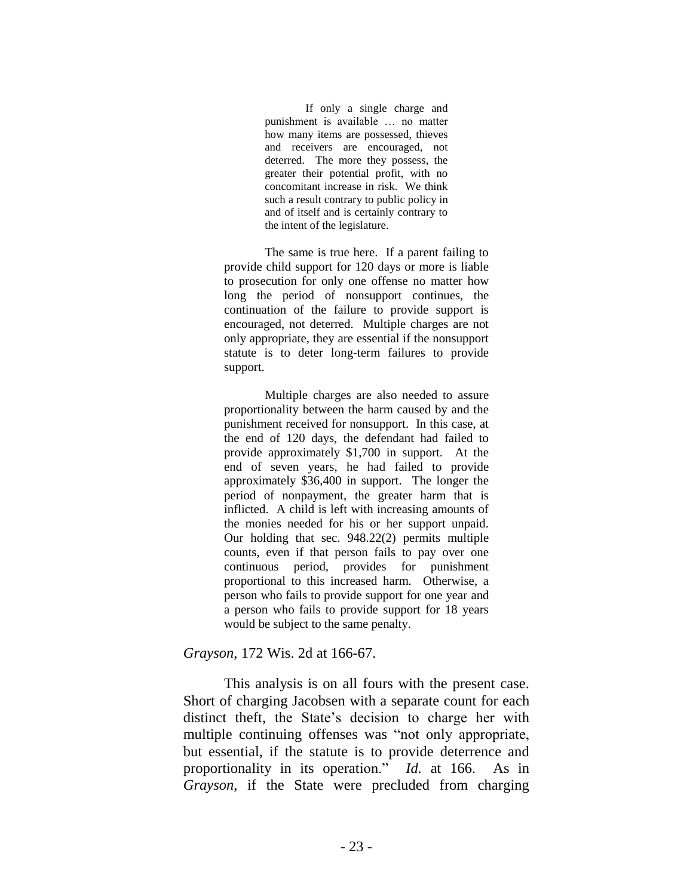If only a single charge and punishment is available … no matter how many items are possessed, thieves and receivers are encouraged, not deterred. The more they possess, the greater their potential profit, with no concomitant increase in risk. We think such a result contrary to public policy in and of itself and is certainly contrary to the intent of the legislature.

The same is true here. If a parent failing to provide child support for 120 days or more is liable to prosecution for only one offense no matter how long the period of nonsupport continues, the continuation of the failure to provide support is encouraged, not deterred. Multiple charges are not only appropriate, they are essential if the nonsupport statute is to deter long-term failures to provide support.

Multiple charges are also needed to assure proportionality between the harm caused by and the punishment received for nonsupport. In this case, at the end of 120 days, the defendant had failed to provide approximately \$1,700 in support. At the end of seven years, he had failed to provide approximately \$36,400 in support. The longer the period of nonpayment, the greater harm that is inflicted. A child is left with increasing amounts of the monies needed for his or her support unpaid. Our holding that sec. 948.22(2) permits multiple counts, even if that person fails to pay over one continuous period, provides for punishment proportional to this increased harm. Otherwise, a person who fails to provide support for one year and a person who fails to provide support for 18 years would be subject to the same penalty.

#### *Grayson*, 172 Wis. 2d at 166-67.

This analysis is on all fours with the present case. Short of charging Jacobsen with a separate count for each distinct theft, the State's decision to charge her with multiple continuing offenses was "not only appropriate, but essential, if the statute is to provide deterrence and proportionality in its operation." *Id.* at 166. As in *Grayson*, if the State were precluded from charging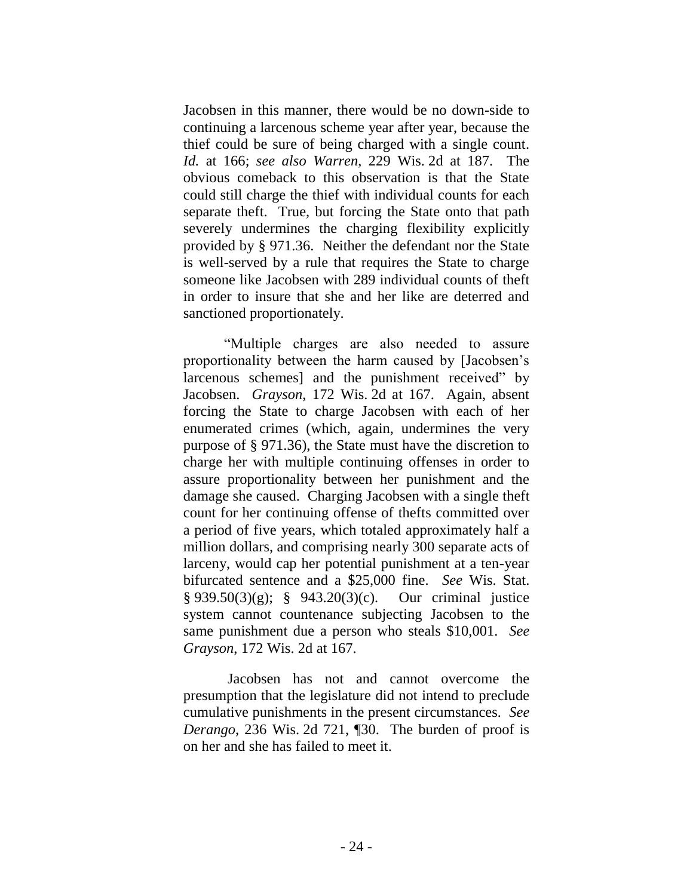Jacobsen in this manner, there would be no down-side to continuing a larcenous scheme year after year, because the thief could be sure of being charged with a single count. *Id.* at 166; *see also Warren*, 229 Wis. 2d at 187. The obvious comeback to this observation is that the State could still charge the thief with individual counts for each separate theft. True, but forcing the State onto that path severely undermines the charging flexibility explicitly provided by § 971.36. Neither the defendant nor the State is well-served by a rule that requires the State to charge someone like Jacobsen with 289 individual counts of theft in order to insure that she and her like are deterred and sanctioned proportionately.

"Multiple charges are also needed to assure proportionality between the harm caused by [Jacobsen's larcenous schemes] and the punishment received" by Jacobsen. *Grayson*, 172 Wis. 2d at 167. Again, absent forcing the State to charge Jacobsen with each of her enumerated crimes (which, again, undermines the very purpose of § 971.36), the State must have the discretion to charge her with multiple continuing offenses in order to assure proportionality between her punishment and the damage she caused. Charging Jacobsen with a single theft count for her continuing offense of thefts committed over a period of five years, which totaled approximately half a million dollars, and comprising nearly 300 separate acts of larceny, would cap her potential punishment at a ten-year bifurcated sentence and a \$25,000 fine. *See* Wis. Stat. § 939.50(3)(g); § 943.20(3)(c). Our criminal justice system cannot countenance subjecting Jacobsen to the same punishment due a person who steals \$10,001. *See Grayson*, 172 Wis. 2d at 167.

Jacobsen has not and cannot overcome the presumption that the legislature did not intend to preclude cumulative punishments in the present circumstances. *See Derango*, 236 Wis. 2d 721, ¶30. The burden of proof is on her and she has failed to meet it.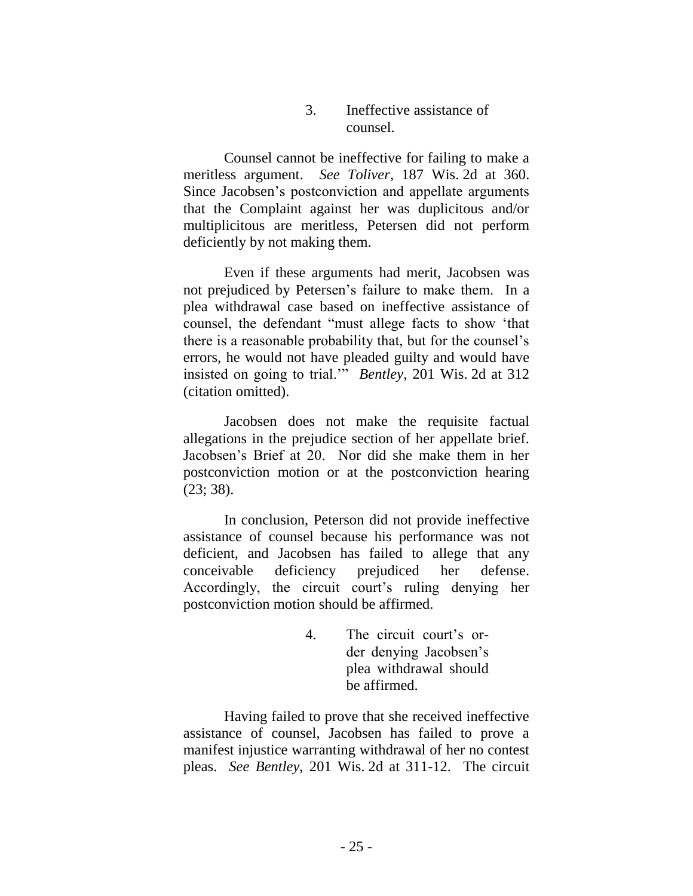#### 3. Ineffective assistance of counsel.

Counsel cannot be ineffective for failing to make a meritless argument. *See Toliver*, 187 Wis. 2d at 360. Since Jacobsen's postconviction and appellate arguments that the Complaint against her was duplicitous and/or multiplicitous are meritless, Petersen did not perform deficiently by not making them.

Even if these arguments had merit, Jacobsen was not prejudiced by Petersen's failure to make them. In a plea withdrawal case based on ineffective assistance of counsel, the defendant "must allege facts to show 'that there is a reasonable probability that, but for the counsel's errors, he would not have pleaded guilty and would have insisted on going to trial.'" *Bentley*, 201 Wis. 2d at 312 (citation omitted).

Jacobsen does not make the requisite factual allegations in the prejudice section of her appellate brief. Jacobsen's Brief at 20. Nor did she make them in her postconviction motion or at the postconviction hearing (23; 38).

In conclusion, Peterson did not provide ineffective assistance of counsel because his performance was not deficient, and Jacobsen has failed to allege that any conceivable deficiency prejudiced her defense. Accordingly, the circuit court's ruling denying her postconviction motion should be affirmed.

> 4. The circuit court's order denying Jacobsen's plea withdrawal should be affirmed.

Having failed to prove that she received ineffective assistance of counsel, Jacobsen has failed to prove a manifest injustice warranting withdrawal of her no contest pleas. *See Bentley*, 201 Wis. 2d at 311-12. The circuit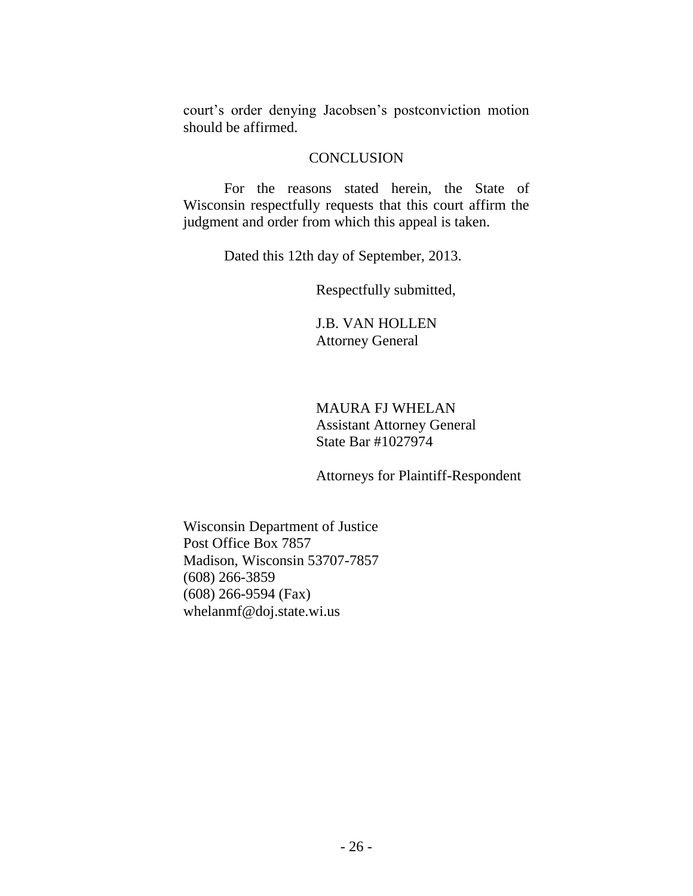court's order denying Jacobsen's postconviction motion should be affirmed.

#### **CONCLUSION**

For the reasons stated herein, the State of Wisconsin respectfully requests that this court affirm the judgment and order from which this appeal is taken.

Dated this 12th day of September, 2013.

Respectfully submitted,

J.B. VAN HOLLEN Attorney General

### MAURA FJ WHELAN Assistant Attorney General State Bar #1027974

Attorneys for Plaintiff-Respondent

Wisconsin Department of Justice Post Office Box 7857 Madison, Wisconsin 53707-7857 (608) 266-3859 (608) 266-9594 (Fax) whelanmf@doj.state.wi.us